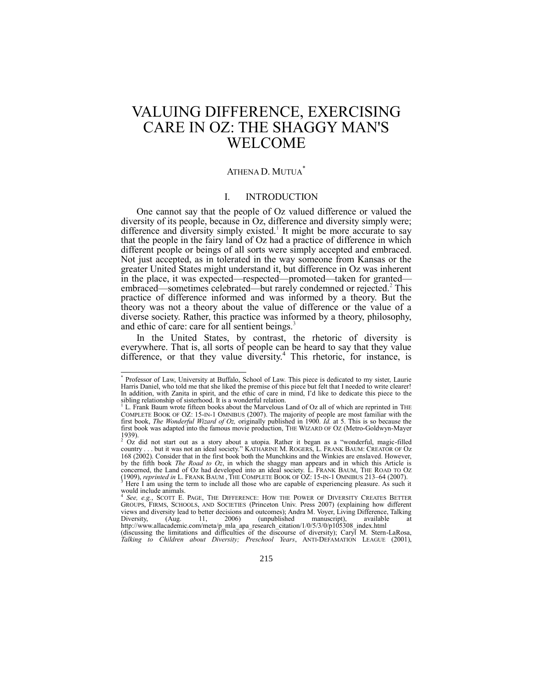# VALUING DIFFERENCE, EXERCISING CARE IN OZ: THE SHAGGY MAN'S WELCOME

# ATHENA D. MUTUA\*

# <span id="page-0-0"></span>I. INTRODUCTION

One cannot say that the people of Oz valued difference or valued the diversity of its people, because in Oz, difference and diversity simply were; difference and diversity simply existed.<sup>1</sup> It might be more accurate to say that the people in the fairy land of Oz had a practice of difference in which different people or beings of all sorts were simply accepted and embraced. Not just accepted, as in tolerated in the way someone from Kansas or the greater United States might understand it, but difference in Oz was inherent in the place, it was expected—respected—promoted—taken for granted embraced—sometimes celebrated—but rarely condemned or rejected.<sup>2</sup> This practice of difference informed and was informed by a theory. But the theory was not a theory about the value of difference or the value of a diverse society. Rather, this practice was informed by a theory, philosophy, and ethic of care: care for all sentient beings.<sup>3</sup>

In the United States, by contrast, the rhetoric of diversity is everywhere. That is, all sorts of people can be heard to say that they value difference, or that they value diversity.<sup>4</sup> This rhetoric, for instance, is

 \* Professor of Law, University at Buffalo, School of Law. This piece is dedicated to my sister, Laurie Harris Daniel, who told me that she liked the premise of this piece but felt that I needed to write clearer! In addition, with Zanita in spirit, and the ethic of care in mind, I'd like to dedicate this piece to the sibling relationship of sisterhood. It is a wonderful relation.

L. Frank Baum wrote fifteen books about the Marvelous Land of Oz all of which are reprinted in THE COMPLETE BOOK OF OZ: 15-IN-1 OMNIBUS (2007). The majority of people are most familiar with the first book, *The Wonderful Wizard of Oz,* originally published in 1900. *Id.* at 5. This is so because the first book was adapted into the famous movie production, THE WIZARD OF OZ (Metro-Goldwyn-Mayer 1939).<br><sup>2</sup> Oz did not start out as a story about a utopia. Rather it began as a "wonderful, magic-filled

country . . . but it was not an ideal society.‖ KATHARINE M. ROGERS, L. FRANK BAUM: CREATOR OF Oz 168 (2002). Consider that in the first book both the Munchkins and the Winkies are enslaved. However, by the fifth book *The Road to Oz*, in which the shaggy man appears and in which this Article is concerned, the Land of Oz had developed into an ideal society. L. FRANK BAUM, THE ROAD TO OZ (1909), *reprinted in* L. FRANK BAUM , THE COMPLETE BOOK OF OZ: 15-IN-1 OMNIBUS 213–64 (2007). <sup>3</sup> Here I am using the term to include all those who are capable of experiencing pleasure. As such it

would include animals. 4 *See, e.g.*, SCOTT E. PAGE, THE DIFFERENCE: HOW THE POWER OF DIVERSITY CREATES BETTER GROUPS, FIRMS, SCHOOLS, AND SOCIETIES (Princeton Univ. Press 2007) (explaining how different views and diversity lead to better decisions and outcomes); Andra M. Voyer, Living Difference, Talking Diversity, (Aug. 11, 2006) (unpublished manuscript), available at http://www.allacademic.com/meta/p\_mla\_apa\_research\_citation/1/0/5/3/0/p105308\_index.html (discussing the limitations and difficulties of the discourse of diversity); Caryl M. Stern-LaRosa, *Talking to Children about Diversity; Preschool Years*, ANTI-DEFAMATION LEAGUE (2001),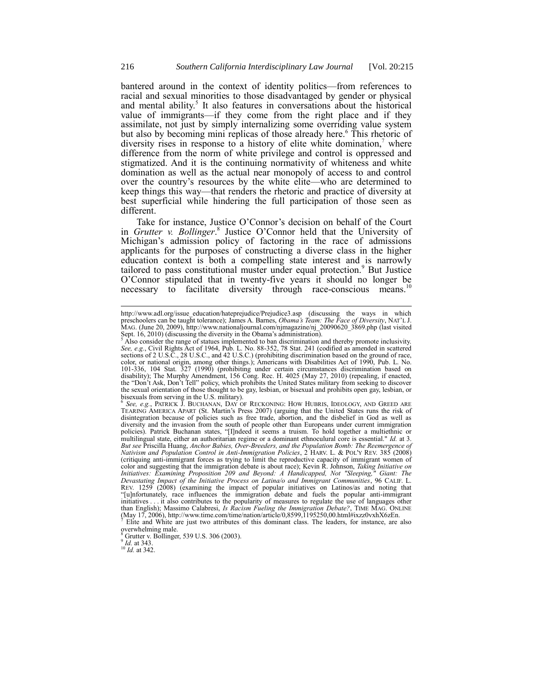bantered around in the context of identity politics—from references to racial and sexual minorities to those disadvantaged by gender or physical and mental ability.<sup>5</sup> It also features in conversations about the historical value of immigrants—if they come from the right place and if they assimilate, not just by simply internalizing some overriding value system but also by becoming mini replicas of those already here.<sup>6</sup> This rhetoric of diversity rises in response to a history of elite white domination, $\alpha$  where difference from the norm of white privilege and control is oppressed and stigmatized. And it is the continuing normativity of whiteness and white domination as well as the actual near monopoly of access to and control over the country's resources by the white elite—who are determined to keep things this way—that renders the rhetoric and practice of diversity at best superficial while hindering the full participation of those seen as different.

Take for instance, Justice O'Connor's decision on behalf of the Court in *Grutter v. Bollinger*. 8 Justice O'Connor held that the University of Michigan's admission policy of factoring in the race of admissions applicants for the purposes of constructing a diverse class in the higher education context is both a compelling state interest and is narrowly tailored to pass constitutional muster under equal protection.<sup>9</sup> But Justice O'Connor stipulated that in twenty-five years it should no longer be necessary to facilitate diversity through race-conscious means.<sup>10</sup>

6 *See, e.g.*, PATRICK J. BUCHANAN, DAY OF RECKONING: HOW HUBRIS, IDEOLOGY, AND GREED ARE TEARING AMERICA APART (St. Martin's Press 2007) (arguing that the United States runs the risk of disintegration because of policies such as free trade, abortion, and the disbelief in God as well as diversity and the invasion from the south of people other than Europeans under current immigration policies). Patrick Buchanan states, "[I]ndeed it seems a truism. To hold together a multiethnic or multilingual state, either an authoritarian regime or a dominant ethnoculural core is essential." *Id.* at 3. *But see* Priscilla Huang, *Anchor Babies, Over-Breeders, and the Population Bomb: The Reemergence of Nativism and Population Control in Anti-Immigration Policies*, 2 HARV. L. & POL'Y REV. 385 (2008) (critiquing anti-immigrant forces as trying to limit the reproductive capacity of immigrant women of color and suggesting that the immigration debate is about race); Kevin R. Johnson, *Taking Initiative on Initiatives: Examining Proposition 209 and Beyond: A Handicapped, Not "Sleeping," Giant: The Devastating Impact of the Initiative Process on Latina/o and Immigrant Communities*, 96 CALIF. L. REV. 1259 (2008) (examining the impact of popular initiatives on Latinos/as and noting that ―[u]nfortunately, race influences the immigration debate and fuels the popular anti-immigrant initiatives . . . it also contributes to the popularity of measures to regulate the use of languages other than English); Massimo Calabresi, *Is Racism Fueling the Immigration Debate?*, TIME MAG. ONLINE<br>(May 17, 2006), http://www.time.com/time/nation/article/0,8599,1195250,00.html#ixzz0vxhX6zEn.

<sup>7</sup> Elite and White are just two attributes of this dominant class. The leaders, for instance, are also overwhelming male.

Grutter v. Bollinger, 539 U.S. 306 (2003).

9 *Id.* at 343. <sup>10</sup> *Id.* at 342.

http://www.adl.org/issue education/hateprejudice/Prejudice3.asp (discussing the ways in which preschoolers can be taught tolerance); James A. Barnes, *Obama's Team: The Face of Diversity*, NAT'L J. MAG. (June 20, 2009), http://www.nationaljournal.com/njmagazine/nj\_20090620\_3869.php (last visited Sept. 16, 2010) (discussing the diversity in the Obama's administration).

<sup>5</sup> Also consider the range of statues implemented to ban discrimination and thereby promote inclusivity. *See, e.g.*, Civil Rights Act of 1964, Pub. L. No. 88-352, 78 Stat. 241 (codified as amended in scattered sections of 2 U.S.C., 28 U.S.C., and 42 U.S.C.) (prohibiting discrimination based on the ground of race, color, or national origin, among other things.); Americans with Disabilities Act of 1990, Pub. L. No. 101-336, 104 Stat. 327 (1990) (prohibiting under certain circumstances discrimination based on disability); The Murphy Amendment, 156 Cong. Rec. H. 4025 (May 27, 2010) (repealing, if enacted, the "Don't Ask, Don't Tell" policy, which prohibits the United States military from seeking to discover the sexual orientation of those thought to be gay, lesbian, or bisexual and prohibits open gay, lesbian, or bisexuals from serving in the U.S. military).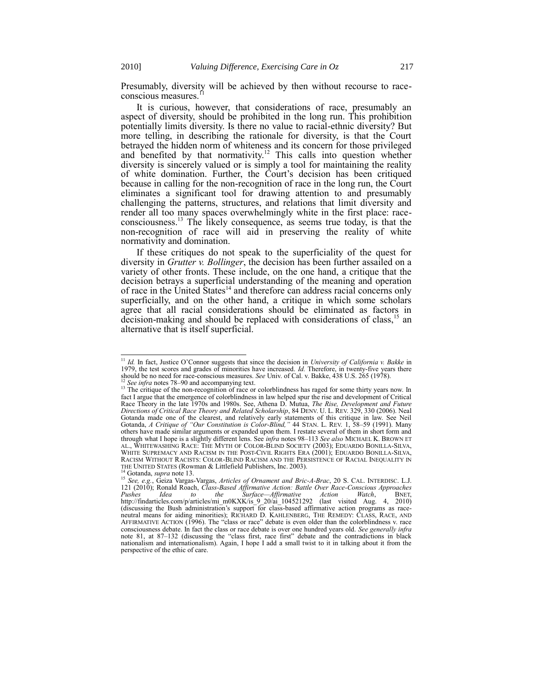Presumably, diversity will be achieved by then without recourse to raceconscious measures.<sup>11</sup>

It is curious, however, that considerations of race, presumably an aspect of diversity, should be prohibited in the long run. This prohibition potentially limits diversity. Is there no value to racial-ethnic diversity? But more telling, in describing the rationale for diversity, is that the Court betrayed the hidden norm of whiteness and its concern for those privileged and benefited by that normativity.<sup>12</sup> This calls into question whether diversity is sincerely valued or is simply a tool for maintaining the reality of white domination. Further, the Court's decision has been critiqued because in calling for the non-recognition of race in the long run, the Court eliminates a significant tool for drawing attention to and presumably challenging the patterns, structures, and relations that limit diversity and render all too many spaces overwhelmingly white in the first place: raceconsciousness.<sup>13</sup> The likely consequence, as seems true today, is that the non-recognition of race will aid in preserving the reality of white normativity and domination.

<span id="page-2-0"></span>If these critiques do not speak to the superficiality of the quest for diversity in *Grutter v. Bollinger*, the decision has been further assailed on a variety of other fronts. These include, on the one hand, a critique that the decision betrays a superficial understanding of the meaning and operation of race in the United States<sup>14</sup> and therefore can address racial concerns only superficially, and on the other hand, a critique in which some scholars agree that all racial considerations should be eliminated as factors in decision-making and should be replaced with considerations of class,<sup>15</sup> an alternative that is itself superficial.

<span id="page-2-1"></span><sup>11</sup> *Id.* In fact, Justice O'Connor suggests that since the decision in *University of California v. Bakke* in 1979, the test scores and grades of minorities have increased. *Id.* Therefore, in twenty-five years there should be no need for race-conscious measures. *See* Univ. of Cal. v. Bakke, 438 U.S. 265 (1978).

<sup>&</sup>lt;sup>12</sup> *See infra* note[s 78](#page-10-0)–[90](#page-13-0) and accompanying text.<br><sup>13</sup> The critique of the non-recognition of race or colorblindness has raged for some thirty years now. In fact I argue that the emergence of colorblindness in law helped spur the rise and development of Critical Race Theory in the late 1970s and 1980s. See, Athena D. Mutua, *The Rise, Development and Future Directions of Critical Race Theory and Related Scholarship*, 84 DENV. U. L. REV. 329, 330 (2006). Neal Gotanda made one of the clearest, and relatively early statements of this critique in law. See Neil Gotanda, *A Critique of "Our Constitution is Color-Blind,"* 44 STAN. L. REV. 1, 58–59 (1991). Many others have made similar arguments or expanded upon them. I restate several of them in short form and through what I hope is a slightly different lens. See *infra* notes [98](#page-15-0)–[113](#page-18-0) *See also* MICHAEL K. BROWN ET AL., WHITEWASHING RACE: THE MYTH OF COLOR-BLIND SOCIETY (2003); EDUARDO BONILLA-SILVA, WHITE SUPREMACY AND RACISM IN THE POST-CIVIL RIGHTS ERA (2001); EDUARDO BONILLA-SILVA, RACISM WITHOUT RACISTS: COLOR-BLIND RACISM AND THE PERSISTENCE OF RACIAL INEQUALITY IN THE UNITED STATES (Rowman & Littlefield Publishers, Inc. 2003). <sup>14</sup> Gotanda, *supra* not[e 13.](#page-2-0)

<sup>15</sup> *See, e.g.*, Geiza Vargas-Vargas, *Articles of Ornament and Bric-A-Brac*, 20 S. CAL. INTERDISC. L.J. 121 (2010); Ronald Roach, *Class-Based Affirmative Action: Battle Over Race-Conscious Approaches Pushes Idea to the Surface—Affirmative Action Watch*, BNET, http://findarticles.com/p/articles/mi\_m0KXK/is\_9\_20/ai\_104521292 (last visited Aug. 4, 2010) (discussing the Bush administration's support for class-based affirmative action programs as race-neutral means for aiding minorities); RICHARD D. KAHLENBERG, THE REMEDY: CLASS, RACE, AND AFFIRMATIVE ACTION ( $1996$ ). The "class or race" debate is even older than the colorblindness v. race consciousness debate. In fact the class or race debate is over one hundred years old. *See generally infra* note [81,](#page-11-0) at 87–132 (discussing the "class first, race first" debate and the contradictions in black nationalism and internationalism). Again, I hope I add a small twist to it in talking about it from the perspective of the ethic of care.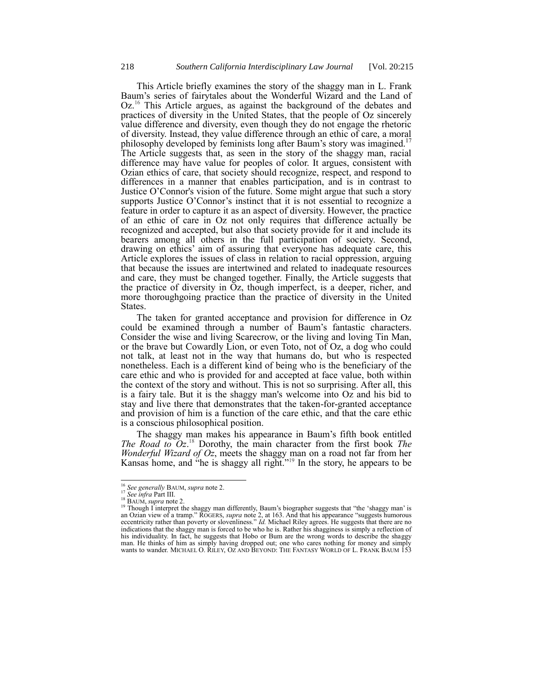This Article briefly examines the story of the shaggy man in L. Frank Baum's series of fairytales about the Wonderful Wizard and the Land of Oz.<sup>16</sup> This Article argues, as against the background of the debates and practices of diversity in the United States, that the people of Oz sincerely value difference and diversity, even though they do not engage the rhetoric of diversity. Instead, they value difference through an ethic of care, a moral philosophy developed by feminists long after Baum's story was imagined.<sup>17</sup> The Article suggests that, as seen in the story of the shaggy man, racial difference may have value for peoples of color. It argues, consistent with Ozian ethics of care, that society should recognize, respect, and respond to differences in a manner that enables participation, and is in contrast to Justice O'Connor's vision of the future. Some might argue that such a story supports Justice O'Connor's instinct that it is not essential to recognize a feature in order to capture it as an aspect of diversity. However, the practice of an ethic of care in Oz not only requires that difference actually be recognized and accepted, but also that society provide for it and include its bearers among all others in the full participation of society. Second, drawing on ethics' aim of assuring that everyone has adequate care, this Article explores the issues of class in relation to racial oppression, arguing that because the issues are intertwined and related to inadequate resources and care, they must be changed together. Finally, the Article suggests that the practice of diversity in Oz, though imperfect, is a deeper, richer, and more thoroughgoing practice than the practice of diversity in the United States.

The taken for granted acceptance and provision for difference in Oz could be examined through a number of Baum's fantastic characters. Consider the wise and living Scarecrow, or the living and loving Tin Man, or the brave but Cowardly Lion, or even Toto, not of Oz, a dog who could not talk, at least not in the way that humans do, but who is respected nonetheless. Each is a different kind of being who is the beneficiary of the care ethic and who is provided for and accepted at face value, both within the context of the story and without. This is not so surprising. After all, this is a fairy tale. But it is the shaggy man's welcome into Oz and his bid to stay and live there that demonstrates that the taken-for-granted acceptance and provision of him is a function of the care ethic, and that the care ethic is a conscious philosophical position.

The shaggy man makes his appearance in Baum's fifth book entitled *The Road to Oz*. <sup>18</sup> Dorothy, the main character from the first book *The Wonderful Wizard of Oz*, meets the shaggy man on a road not far from her Kansas home, and "he is shaggy all right."<sup>19</sup> In the story, he appears to be

<span id="page-3-0"></span><sup>16</sup> *See generally* BAUM, *supra* note [2.](#page-0-0) <sup>17</sup> *See infra* Part III.

<sup>18</sup> BAUM, *supra* not[e 2.](#page-0-0)

<sup>&</sup>lt;sup>19</sup> Though I interpret the shaggy man differently, Baum's biographer suggests that "the 'shaggy man' is an Ozian view of a tramp." ROGERS, *supra* not[e 2](#page-0-0), at 163. And that his appearance "suggests humorous eccentricity rather than poverty or slovenliness." *Id.* Michael Riley agrees. He suggests that there are no indications that the shaggy man is forced to be who he is. Rather his shagginess is simply a reflection of his individuality. In fact, he suggests that Hobo or Bum are the wrong words to describe the shaggy man. He thinks of him as simply having dropped out; one who cares nothing for money and simply wants to wander. MICHAEL O. RILEY, OZ AND BEYOND: THE FANTASY WORLD OF L. FRANK BAUM 153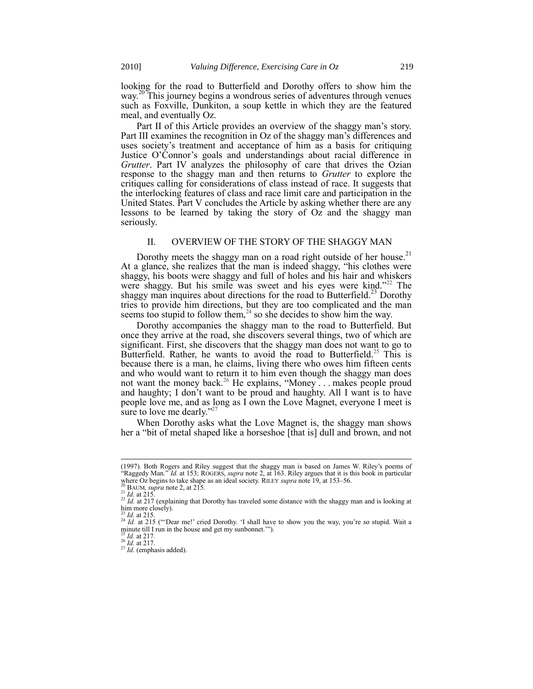looking for the road to Butterfield and Dorothy offers to show him the way.<sup>20</sup> This journey begins a wondrous series of adventures through venues such as Foxville, Dunkiton, a soup kettle in which they are the featured meal, and eventually Oz.

Part II of this Article provides an overview of the shaggy man's story. Part III examines the recognition in Oz of the shaggy man's differences and uses society's treatment and acceptance of him as a basis for critiquing Justice O'Connor's goals and understandings about racial difference in *Grutter*. Part IV analyzes the philosophy of care that drives the Ozian response to the shaggy man and then returns to *Grutter* to explore the critiques calling for considerations of class instead of race. It suggests that the interlocking features of class and race limit care and participation in the United States. Part V concludes the Article by asking whether there are any lessons to be learned by taking the story of Oz and the shaggy man seriously.

# II. OVERVIEW OF THE STORY OF THE SHAGGY MAN

Dorothy meets the shaggy man on a road right outside of her house.<sup>21</sup> At a glance, she realizes that the man is indeed shaggy, "his clothes were shaggy, his boots were shaggy and full of holes and his hair and whiskers were shaggy. But his smile was sweet and his eyes were kind."<sup>22</sup> The shaggy man inquires about directions for the road to Butterfield.<sup>23</sup> Dorothy tries to provide him directions, but they are too complicated and the man seems too stupid to follow them,  $24$  so she decides to show him the way.

Dorothy accompanies the shaggy man to the road to Butterfield. But once they arrive at the road, she discovers several things, two of which are significant. First, she discovers that the shaggy man does not want to go to Butterfield. Rather, he wants to avoid the road to Butterfield.<sup>25</sup> This is because there is a man, he claims, living there who owes him fifteen cents and who would want to return it to him even though the shaggy man does not want the money back.<sup>26</sup> He explains, "Money . . . makes people proud and haughty; I don't want to be proud and haughty. All I want is to have people love me, and as long as I own the Love Magnet, everyone I meet is sure to love me dearly." $27$ 

When Dorothy asks what the Love Magnet is, the shaggy man shows her a "bit of metal shaped like a horseshoe [that is] dull and brown, and not

<sup>(1997).</sup> Both Rogers and Riley suggest that the shaggy man is based on James W. Riley's poems of "Raggedy Man." *Id.* at 153; ROGERS, *supra* not[e 2,](#page-0-0) at 163. Riley argues that it is this book in particular where Oz begins to take shape as an ideal society. RILEY *supra* not[e 19,](#page-3-0) at 153–56.

BAUM, *supra* not[e 2,](#page-0-0) at 215.

<sup>21</sup> *Id.* at 215.

<sup>&</sup>lt;sup>22</sup> *Id.* at 217 (explaining that Dorothy has traveled some distance with the shaggy man and is looking at him more closely).

<sup>23</sup> *Id.* at 215.

<sup>&</sup>lt;sup>24</sup> *Id.* at 215 ("Dear me!' cried Dorothy. 'I shall have to show you the way, you're so stupid. Wait a minute till I run in the house and get my sunbonnet.'").

<sup>25</sup> *Id.* at 217*.*

<sup>26</sup> *Id.* at 217.

<sup>&</sup>lt;sup>27</sup> *Id.* (emphasis added).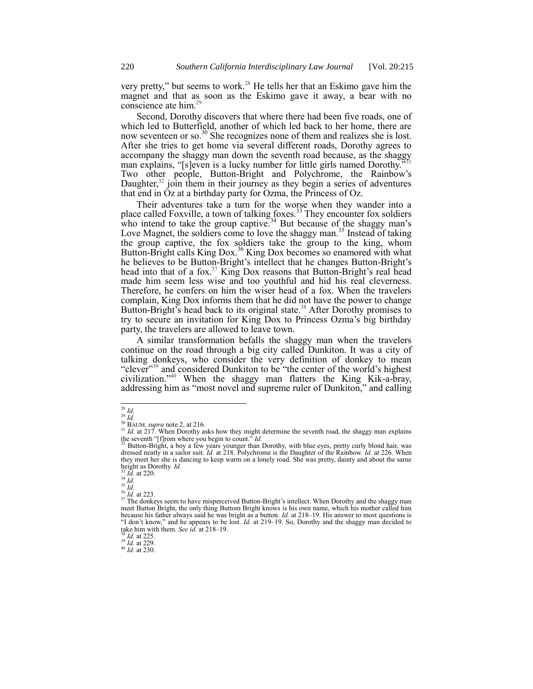very pretty," but seems to work.<sup>28</sup> He tells her that an Eskimo gave him the magnet and that as soon as the Eskimo gave it away, a bear with no conscience ate him.<sup>29</sup>

Second, Dorothy discovers that where there had been five roads, one of which led to Butterfield, another of which led back to her home, there are now seventeen or so.<sup>30</sup> She recognizes none of them and realizes she is lost. After she tries to get home via several different roads, Dorothy agrees to accompany the shaggy man down the seventh road because, as the shaggy man explains, "[s]even is a lucky number for little girls named Dorothy." Two other people, Button-Bright and Polychrome, the Rainbow's Daughter,<sup>32</sup> join them in their journey as they begin a series of adventures that end in Oz at a birthday party for Ozma, the Princess of Oz.

Their adventures take a turn for the worse when they wander into a place called Foxville, a town of talking foxes.<sup>33</sup> They encounter fox soldiers who intend to take the group captive.<sup>34</sup> But because of the shaggy man's Love Magnet, the soldiers come to love the shaggy man.<sup>35</sup> Instead of taking the group captive, the fox soldiers take the group to the king, whom Button-Bright calls King Dox.<sup>36</sup> King Dox becomes so enamored with what he believes to be Button-Bright's intellect that he changes Button-Bright's head into that of a fox.<sup>37</sup> King Dox reasons that Button-Bright's real head made him seem less wise and too youthful and hid his real cleverness. Therefore, he confers on him the wiser head of a fox. When the travelers complain, King Dox informs them that he did not have the power to change Button-Bright's head back to its original state.<sup>38</sup> After Dorothy promises to try to secure an invitation for King Dox to Princess Ozma's big birthday party, the travelers are allowed to leave town.

A similar transformation befalls the shaggy man when the travelers continue on the road through a big city called Dunkiton. It was a city of talking donkeys, who consider the very definition of donkey to mean "clever"<sup>39</sup> and considered Dunkiton to be "the center of the world's highest civilization.‖<sup>40</sup> When the shaggy man flatters the King Kik-a-bray, addressing him as "most novel and supreme ruler of Dunkiton," and calling

<sup>35</sup> *Id.*

l <sup>28</sup> *Id.*

<sup>29</sup> *Id.*

<sup>&</sup>lt;sup>30</sup> BAUM, *supra* not[e 2,](#page-0-0) at 216.<br><sup>31</sup> *Id.* at 217. When Dorothy asks how they might determine the seventh road, the shaggy man explains the seventh  $\frac{f(t)}{f(t)}$ rom where you begin to count." *Id.*<br> $\frac{32 \text{ Dutter}}{f(t)}$  Dutter Diffract 14.

<sup>&</sup>lt;sup>32</sup> Button-Bright, a boy a few years younger than Dorothy, with blue eyes, pretty curly blond hair, was dressed neatly in a sailor suit. *Id.* at 218. Polychrome is the Daughter of the Rainbow. *Id.* at 226. When they meet her she is dancing to keep warm on a lonely road. She was pretty, dainty and about the same height as Dorothy. *Id.* 

<sup>33</sup> *Id.* at 220. <sup>34</sup> *Id.*

<sup>36</sup> *Id.* at 223.

<sup>&</sup>lt;sup>37</sup> The donkeys seem to have misperceived Button-Bright's intellect. When Dorothy and the shaggy man meet Button Bright, the only thing Buttom Bright knows is his own name, which his mother called him

because his father always said he was bright as a button. *Id.* at 218–19. His answer to most questions is ―I don't know,‖ and he appears to be lost. *Id.* at 219–19. So, Dorothy and the shaggy man decided to take him with them. *See id.* at 218–19. <sup>38</sup> *Id.* at 225.

*<sup>39</sup> Id.* at 229.

<sup>40</sup> *Id.* at 230.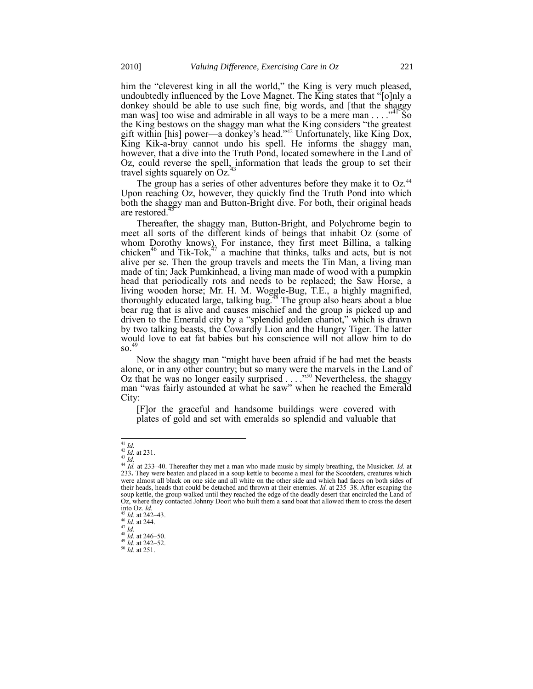him the "cleverest king in all the world," the King is very much pleased, undoubtedly influenced by the Love Magnet. The King states that "[o]nly a donkey should be able to use such fine, big words, and [that the shaggy man was] too wise and admirable in all ways to be a mere man  $\dots$ <sup>41</sup> So the King bestows on the shaggy man what the King considers "the greatest" gift within [his] power—a donkey's head."<sup>42</sup> Unfortunately, like King Dox, King Kik-a-bray cannot undo his spell. He informs the shaggy man, however, that a dive into the Truth Pond, located somewhere in the Land of Oz, could reverse the spell, information that leads the group to set their travel sights squarely on  $Oz^4$ .

The group has a series of other adventures before they make it to  $Oz^{44}$ Upon reaching Oz, however, they quickly find the Truth Pond into which both the shaggy man and Button-Bright dive. For both, their original heads are restored.<sup>4</sup>

Thereafter, the shaggy man, Button-Bright, and Polychrome begin to meet all sorts of the different kinds of beings that inhabit Oz (some of whom Dorothy knows). For instance, they first meet Billina, a talking chicken<sup>46</sup> and Tik-Tok,<sup>47</sup> a machine that thinks, talks and acts, but is not alive per se. Then the group travels and meets the Tin Man, a living man made of tin; Jack Pumkinhead, a living man made of wood with a pumpkin head that periodically rots and needs to be replaced; the Saw Horse, a living wooden horse; Mr. H. M. Woggle-Bug, T.E., a highly magnified, thoroughly educated large, talking bug.<sup>48</sup> The group also hears about a blue bear rug that is alive and causes mischief and the group is picked up and driven to the Emerald city by a "splendid golden chariot," which is drawn by two talking beasts, the Cowardly Lion and the Hungry Tiger. The latter would love to eat fat babies but his conscience will not allow him to do  $\mathrm{SO}^{49}$ 

Now the shaggy man "might have been afraid if he had met the beasts" alone, or in any other country; but so many were the marvels in the Land of Oz that he was no longer easily surprised  $\ldots$ .<sup>550</sup> Nevertheless, the shaggy man "was fairly astounded at what he saw" when he reached the Emerald City:

[F]or the graceful and handsome buildings were covered with plates of gold and set with emeralds so splendid and valuable that

<sup>41</sup> *Id.*

<sup>42</sup> *Id.* at 231.  $\stackrel{43}{\cdot}$ *Id.* 

<sup>&</sup>lt;sup>44</sup> *Id.* at 233–40. Thereafter they met a man who made music by simply breathing, the Musicker. *Id.* at 233. They were beaten and placed in a soup kettle to become a meal for the Scootders, creatures which were almost all black on one side and all white on the other side and which had faces on both sides of their heads, heads that could be detached and thrown at their enemies. *Id.* at 235–38. After escaping the soup kettle, the group walked until they reached the edge of the deadly desert that encircled the Land of Oz, where they contacted Johnny Dooit who built them a sand boat that allowed them to cross the desert into Oz. *Id.*

*Id.* at 242–43.

<sup>46</sup> *Id.* at 244.

<sup>47</sup> *Id.*

<sup>48</sup> *Id.* at 246–50. <sup>49</sup> *Id.* at 242–52.

<sup>50</sup> *Id.* at 251.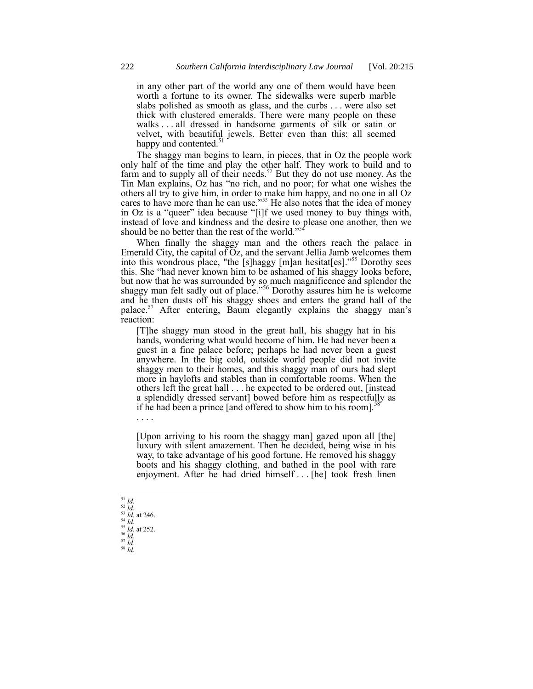in any other part of the world any one of them would have been worth a fortune to its owner. The sidewalks were superb marble slabs polished as smooth as glass, and the curbs . . . were also set thick with clustered emeralds. There were many people on these walks . . . all dressed in handsome garments of silk or satin or velvet, with beautiful jewels. Better even than this: all seemed happy and contented.<sup>5</sup>

The shaggy man begins to learn, in pieces, that in Oz the people work only half of the time and play the other half. They work to build and to farm and to supply all of their needs.<sup>52</sup> But they do not use money. As the Tin Man explains, Oz has "no rich, and no poor; for what one wishes the others all try to give him, in order to make him happy, and no one in all Oz cares to have more than he can use.<sup>753</sup> He also notes that the idea of money in Oz is a "queer" idea because "[i]f we used money to buy things with, instead of love and kindness and the desire to please one another, then we should be no better than the rest of the world."<sup>5</sup>

When finally the shaggy man and the others reach the palace in Emerald City, the capital of  $Oz$ , and the servant Jellia Jamb welcomes them into this wondrous place, "the [s]haggy [m]an hesitat[es].<sup>555</sup> Dorothy sees this. She "had never known him to be ashamed of his shaggy looks before, but now that he was surrounded by so much magnificence and splendor the shaggy man felt sadly out of place.<sup>56</sup> Dorothy assures him he is welcome and he then dusts off his shaggy shoes and enters the grand hall of the palace.<sup>57</sup> After entering, Baum elegantly explains the shaggy man's reaction:

[T]he shaggy man stood in the great hall, his shaggy hat in his hands, wondering what would become of him. He had never been a guest in a fine palace before; perhaps he had never been a guest anywhere. In the big cold, outside world people did not invite shaggy men to their homes, and this shaggy man of ours had slept more in haylofts and stables than in comfortable rooms. When the others left the great hall . . . he expected to be ordered out, [instead a splendidly dressed servant] bowed before him as respectfully as if he had been a prince [and offered to show him to his room].<sup>5</sup>

[Upon arriving to his room the shaggy man] gazed upon all [the] luxury with silent amazement. Then he decided, being wise in his way, to take advantage of his good fortune. He removed his shaggy boots and his shaggy clothing, and bathed in the pool with rare enjoyment. After he had dried himself . . . [he] took fresh linen

l <sup>51</sup> *Id.* <sup>52</sup> *Id.* <sup>53</sup> *Id.* at 246.

. . . .

- <sup>56</sup> *Id.*
- <sup>57</sup> *Id*. <sup>58</sup> *Id.*

<sup>54</sup> *Id.* <sup>55</sup> *Id.* at 252.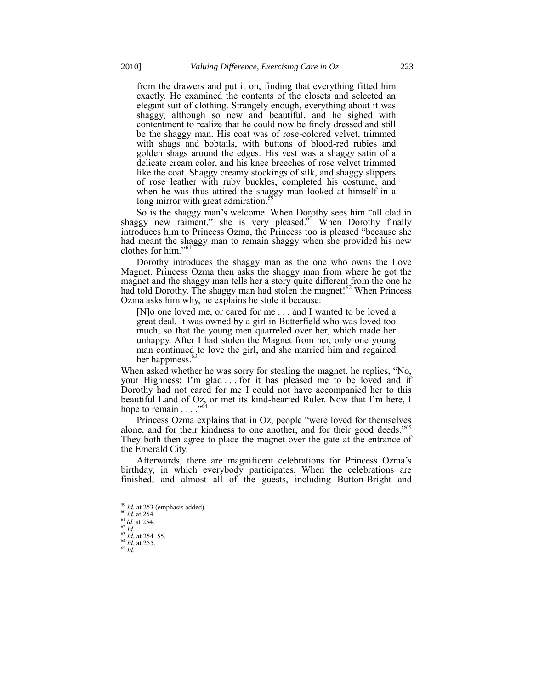from the drawers and put it on, finding that everything fitted him exactly. He examined the contents of the closets and selected an elegant suit of clothing. Strangely enough, everything about it was shaggy, although so new and beautiful, and he sighed with contentment to realize that he could now be finely dressed and still be the shaggy man. His coat was of rose-colored velvet, trimmed with shags and bobtails, with buttons of blood-red rubies and golden shags around the edges. His vest was a shaggy satin of a delicate cream color, and his knee breeches of rose velvet trimmed like the coat. Shaggy creamy stockings of silk, and shaggy slippers of rose leather with ruby buckles, completed his costume, and when he was thus attired the shaggy man looked at himself in a long mirror with great admiration.<sup>5</sup>

So is the shaggy man's welcome. When Dorothy sees him "all clad in shaggy new raiment," she is very pleased. $60$  When Dorothy finally introduces him to Princess Ozma, the Princess too is pleased "because she had meant the shaggy man to remain shaggy when she provided his new clothes for him."<sup>61</sup>

Dorothy introduces the shaggy man as the one who owns the Love Magnet. Princess Ozma then asks the shaggy man from where he got the magnet and the shaggy man tells her a story quite different from the one he had told Dorothy. The shaggy man had stolen the magnet! $62$  When Princess Ozma asks him why, he explains he stole it because:

[N]o one loved me, or cared for me . . . and I wanted to be loved a great deal. It was owned by a girl in Butterfield who was loved too much, so that the young men quarreled over her, which made her unhappy. After I had stolen the Magnet from her, only one young man continued to love the girl, and she married him and regained her happiness.<sup>6</sup>

When asked whether he was sorry for stealing the magnet, he replies, "No, your Highness; I'm glad . . . for it has pleased me to be loved and if Dorothy had not cared for me I could not have accompanied her to this beautiful Land of Oz, or met its kind-hearted Ruler. Now that I'm here, I hope to remain  $\ldots$ .  $^{64}$ 

Princess Ozma explains that in Oz, people "were loved for themselves alone, and for their kindness to one another, and for their good deeds.<sup> $55$ </sup> They both then agree to place the magnet over the gate at the entrance of the Emerald City.

Afterwards, there are magnificent celebrations for Princess Ozma's birthday, in which everybody participates. When the celebrations are finished, and almost all of the guests, including Button-Bright and

<sup>59</sup> *Id.* at 253 (emphasis added). <sup>60</sup> *Id.* at 254.

 $^{61}$ *Id.* at 254.

<sup>62</sup> *Id.*

<sup>63</sup> *Id.* at 254–55.

<sup>64</sup> *Id.* at 255.

<sup>65</sup> *Id.*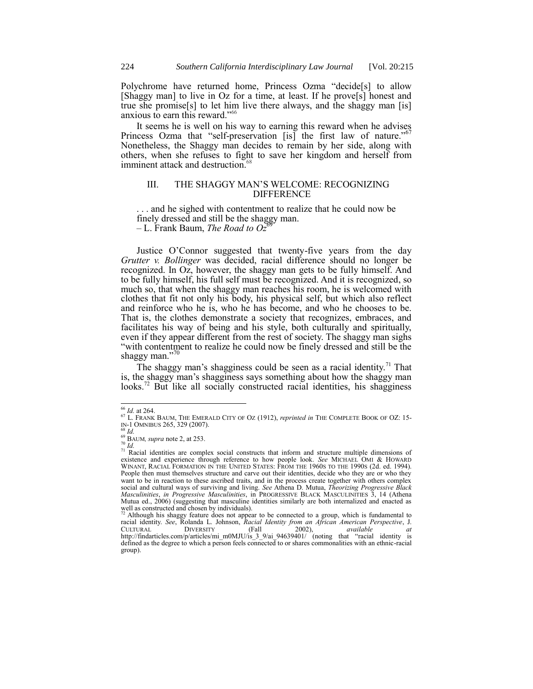Polychrome have returned home, Princess Ozma "decide<sup>[s]</sup> to allow [Shaggy man] to live in Oz for a time, at least. If he prove[s] honest and true she promise[s] to let him live there always, and the shaggy man [is] anxious to earn this reward."66

It seems he is well on his way to earning this reward when he advises Princess Ozma that "self-preservation [is] the first law of nature." Nonetheless, the Shaggy man decides to remain by her side, along with others, when she refuses to fight to save her kingdom and herself from imminent attack and destruction.<sup>68</sup>

# III. THE SHAGGY MAN'S WELCOME: RECOGNIZING **DIFFERENCE**

. . . and he sighed with contentment to realize that he could now be finely dressed and still be the shaggy man.  $-$  L. Frank Baum, *The Road to*  $Oz^6$ 

Justice O'Connor suggested that twenty-five years from the day *Grutter v. Bollinger* was decided, racial difference should no longer be recognized. In Oz, however, the shaggy man gets to be fully himself. And to be fully himself, his full self must be recognized. And it is recognized, so much so, that when the shaggy man reaches his room, he is welcomed with clothes that fit not only his body, his physical self, but which also reflect and reinforce who he is, who he has become, and who he chooses to be. That is, the clothes demonstrate a society that recognizes, embraces, and facilitates his way of being and his style, both culturally and spiritually, even if they appear different from the rest of society. The shaggy man sighs "with contentment to realize he could now be finely dressed and still be the shaggy man." $\frac{7}{2}$ 

<span id="page-9-1"></span><span id="page-9-0"></span>The shaggy man's shagginess could be seen as a racial identity.<sup>71</sup> That is, the shaggy man's shagginess says something about how the shaggy man looks.<sup>72</sup> But like all socially constructed racial identities, his shagginess

group).

<sup>66</sup> *Id.* at 264.

<sup>67</sup> L. FRANK BAUM, THE EMERALD CITY OF OZ (1912), *reprinted in* THE COMPLETE BOOK OF OZ: 15- IN-1 OMNIBUS 265, 329 (2007). <sup>68</sup> *Id.*

<sup>69</sup> BAUM*, supra* not[e 2,](#page-0-0) at 253.

<sup>70</sup> *Id.* <sup>71</sup> Racial identities are complex social constructs that inform and structure multiple dimensions of existence and experience through reference to how people look. *See* MICHAEL OMI & HOWARD WINANT, RACIAL FORMATION IN THE UNITED STATES: FROM THE 1960S TO THE 1990S (2d. ed. 1994). People then must themselves structure and carve out their identities, decide who they are or who they want to be in reaction to these ascribed traits, and in the process create together with others complex social and cultural ways of surviving and living. *See* Athena D. Mutua, *Theorizing Progressive Black Masculinities*, *in Progressive Masculinities*, in PROGRESSIVE BLACK MASCULINITIES 3, 14 (Athena Mutua ed., 2006) (suggesting that masculine identities similarly are both internalized and enacted as

well as constructed and chosen by individuals).<br><sup>72</sup> Although his shaggy feature does not appear to be connected to a group, which is fundamental to racial identity. *See*, Rolanda L. Johnson, *Racial Identity from an African American Perspective*, J. CULTURAL DIVERSITY (Fall 2002), *available at* http://findarticles.com/p/articles/mi\_m0MJU/is\_3\_9/ai\_94639401/ (noting that ―racial identity is defined as the degree to which a person feels connected to or shares commonalities with an ethnic-racial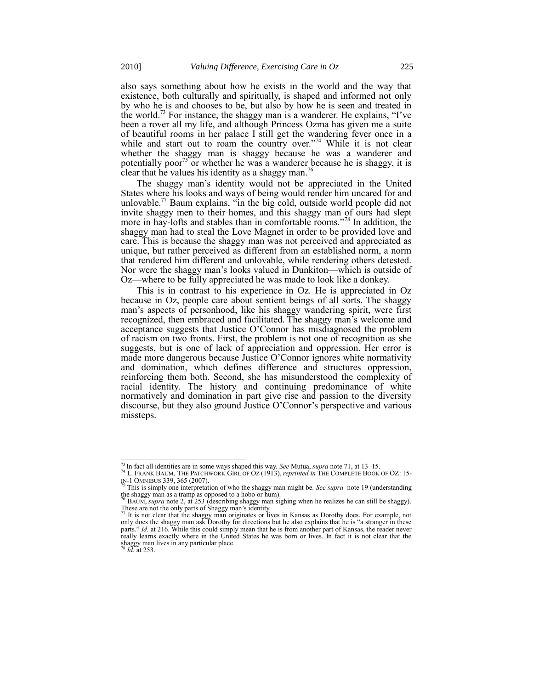also says something about how he exists in the world and the way that existence, both culturally and spiritually, is shaped and informed not only by who he is and chooses to be, but also by how he is seen and treated in the world.<sup>73</sup> For instance, the shaggy man is a wanderer. He explains, "I've been a rover all my life, and although Princess Ozma has given me a suite of beautiful rooms in her palace I still get the wandering fever once in a while and start out to roam the country over."<sup>74</sup> While it is not clear whether the shaggy man is shaggy because he was a wanderer and potentially poor<sup>75</sup> or whether he was a wanderer because he is shaggy, it is clear that he values his identity as a shaggy man.<sup>76</sup>

<span id="page-10-0"></span>The shaggy man's identity would not be appreciated in the United States where his looks and ways of being would render him uncared for and unlovable.<sup>77</sup> Baum explains, "in the big cold, outside world people did not invite shaggy men to their homes, and this shaggy man of ours had slept more in hay-lofts and stables than in comfortable rooms."<sup>78</sup> In addition, the shaggy man had to steal the Love Magnet in order to be provided love and care. This is because the shaggy man was not perceived and appreciated as unique, but rather perceived as different from an established norm, a norm that rendered him different and unlovable, while rendering others detested. Nor were the shaggy man's looks valued in Dunkiton—which is outside of Oz—where to be fully appreciated he was made to look like a donkey.

This is in contrast to his experience in Oz. He is appreciated in Oz because in Oz, people care about sentient beings of all sorts. The shaggy man's aspects of personhood, like his shaggy wandering spirit, were first recognized, then embraced and facilitated. The shaggy man's welcome and acceptance suggests that Justice O'Connor has misdiagnosed the problem of racism on two fronts. First, the problem is not one of recognition as she suggests, but is one of lack of appreciation and oppression. Her error is made more dangerous because Justice O'Connor ignores white normativity and domination, which defines difference and structures oppression, reinforcing them both. Second, she has misunderstood the complexity of racial identity. The history and continuing predominance of white normatively and domination in part give rise and passion to the diversity discourse, but they also ground Justice O'Connor's perspective and various missteps.

<sup>73</sup> In fact all identities are in some ways shaped this way. *See* Mutua, *supra* not[e 71,](#page-9-0) at 13–15. <sup>74</sup> L. FRANK BAUM, THE PATCHWORK GIRL OF OZ (1913), *reprinted in* THE COMPLETE BOOK OF OZ: 15- IN-1 OMNIBUS 339, 365 (2007).

<sup>&</sup>lt;sup>75</sup> This is simply one interpretation of who the shaggy man might be. *See supra* note [19](#page-3-0) (understanding the shaggy man as a tramp as opposed to a hobo or hum).<br><sup>76</sup> BAUM, *supra* note [2,](#page-0-0) at 253 (describing shaggy man si

These are not the only parts of Shaggy man's identity.<br><sup>77</sup> It is not clear that the shaggy man originates or lives in Kansas as Dorothy does. For example, not

only does the shaggy man ask Dorothy for directions but he also explains that he is "a stranger in these parts." *Id.* at 216. While this could simply mean that he is from another part of Kansas, the reader never really learns exactly where in the United States he was born or lives. In fact it is not clear that the shaggy man lives in any particular place. <sup>78</sup> *Id.* at 253.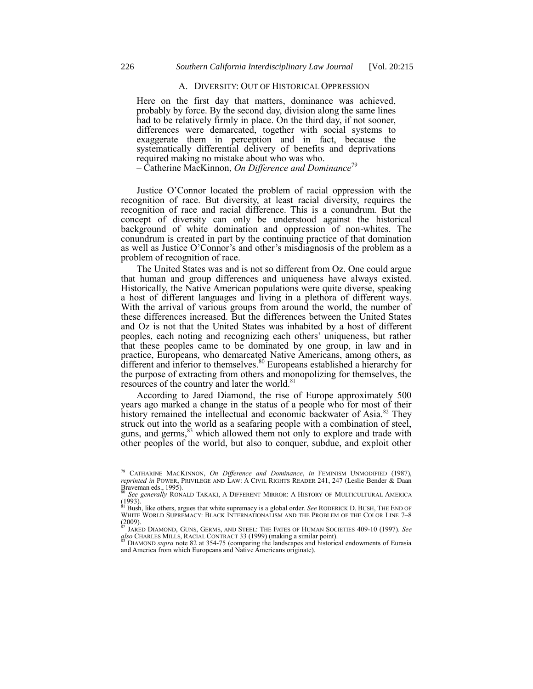# A. DIVERSITY: OUT OF HISTORICAL OPPRESSION

Here on the first day that matters, dominance was achieved, probably by force. By the second day, division along the same lines had to be relatively firmly in place. On the third day, if not sooner, differences were demarcated, together with social systems to exaggerate them in perception and in fact, because the systematically differential delivery of benefits and deprivations required making no mistake about who was who.

– Catherine MacKinnon, *On Difference and Dominance*<sup>79</sup>

Justice O'Connor located the problem of racial oppression with the recognition of race. But diversity, at least racial diversity, requires the recognition of race and racial difference. This is a conundrum. But the concept of diversity can only be understood against the historical background of white domination and oppression of non-whites. The conundrum is created in part by the continuing practice of that domination as well as Justice O'Connor's and other's misdiagnosis of the problem as a problem of recognition of race.

The United States was and is not so different from Oz. One could argue that human and group differences and uniqueness have always existed. Historically, the Native American populations were quite diverse, speaking a host of different languages and living in a plethora of different ways. With the arrival of various groups from around the world, the number of these differences increased. But the differences between the United States and Oz is not that the United States was inhabited by a host of different peoples, each noting and recognizing each others' uniqueness, but rather that these peoples came to be dominated by one group, in law and in practice, Europeans, who demarcated Native Americans, among others, as different and inferior to themselves.<sup>80</sup> Europeans established a hierarchy for the purpose of extracting from others and monopolizing for themselves, the resources of the country and later the world.<sup>81</sup>

<span id="page-11-1"></span><span id="page-11-0"></span>According to Jared Diamond, the rise of Europe approximately 500 years ago marked a change in the status of a people who for most of their history remained the intellectual and economic backwater of Asia.<sup>82</sup> They struck out into the world as a seafaring people with a combination of steel, guns, and germs,<sup>83</sup> which allowed them not only to explore and trade with other peoples of the world, but also to conquer, subdue, and exploit other

<sup>79</sup> CATHARINE MACKINNON, *On Difference and Dominance*, *in* FEMINISM UNMODIFIED (1987), *reprinted in* POWER, PRIVILEGE AND LAW: A CIVIL RIGHTS READER 241, 247 (Leslie Bender & Daan Braveman eds., 1995). <sup>80</sup> *See generally* RONALD TAKAKI, A DIFFERENT MIRROR: A HISTORY OF MULTICULTURAL AMERICA

<sup>(1993).</sup> <sup>81</sup> Bush, like others, argues that white supremacy is a global order. *See* RODERICK D. BUSH, THE END OF WHITE WORLD SUPREMACY: BLACK INTERNATIONALISM AND THE PROBLEM OF THE COLOR LINE 7–8  $(2009)$ .

<sup>&</sup>lt;sup>82</sup> JARED DIAMOND, GUNS, GERMS, AND STEEL: THE FATES OF HUMAN SOCIETIES 409-10 (1997). *See*<br>also CHARLES MILLS, RACIAL CONTRACT 33 (1999) (making a similar point).<br><sup>83</sup> DIAMOND supra note [82](#page-11-1) at 354-75 (comparing the land

and America from which Europeans and Native Americans originate).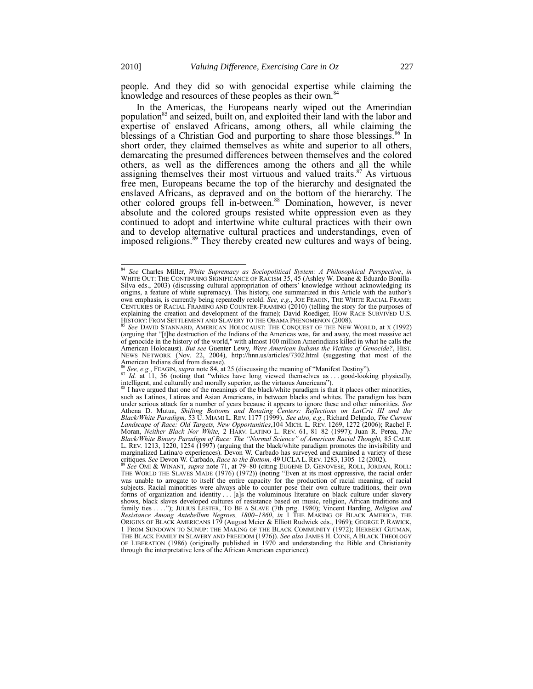<span id="page-12-0"></span>people. And they did so with genocidal expertise while claiming the knowledge and resources of these peoples as their own.<sup>84</sup>

In the Americas, the Europeans nearly wiped out the Amerindian population<sup>85</sup> and seized, built on, and exploited their land with the labor and expertise of enslaved Africans, among others, all while claiming the blessings of a Christian God and purporting to share those blessings.<sup>86</sup> In short order, they claimed themselves as white and superior to all others, demarcating the presumed differences between themselves and the colored others, as well as the differences among the others and all the while assigning themselves their most virtuous and valued traits. $87$  As virtuous free men, Europeans became the top of the hierarchy and designated the enslaved Africans, as depraved and on the bottom of the hierarchy. The other colored groups fell in-between.<sup>88</sup> Domination, however, is never absolute and the colored groups resisted white oppression even as they continued to adopt and intertwine white cultural practices with their own and to develop alternative cultural practices and understandings, even of imposed religions.<sup>89</sup> They thereby created new cultures and ways of being.

<span id="page-12-1"></span><sup>84</sup> *See* Charles Miller, *White Supremacy as Sociopolitical System: A Philosophical Perspective*, *in*  WHITE OUT: THE CONTINUING SIGNIFICANCE OF RACISM 35, 45 (Ashley W. Doane & Eduardo Bonilla-Silva eds., 2003) (discussing cultural appropriation of others' knowledge without acknowledging its origins, a feature of white supremacy). This history, one summarized in this Article with the author's own emphasis, is currently being repeatedly retold. *See, e.g.*, JOE FEAGIN, THE WHITE RACIAL FRAME: CENTURIES OF RACIAL FRAMING AND COUNTER-FRAMING (2010) (telling the story for the purposes of explaining the creation and development of the frame); David Roediger, HOW RACE SURVIVED U.S. HISTORY: FROM SETTLEMENT AND SLAVERY TO THE OBAMA PHENOMENON (2008).

<sup>&</sup>lt;sup>5</sup> See DAVID STANNARD, AMERICAN HOLOCAUST: THE CONQUEST OF THE NEW WORLD, at X (1992) (arguing that "[t]he destruction of the Indians of the Americas was, far and away, the most massive act of genocide in the history of the world," with almost 100 million Amerindians killed in what he calls the American Holocaust). *But see* Guenter Lewy, *Were American Indians the Victims of Genocide?*, HIST. NEWS NETWORK (Nov. 22, 2004), <http://hnn.us/articles/7302.html> (suggesting that most of the American Indians died from disease).

<sup>&</sup>lt;sup>86</sup> *See, e.g.*, FEAGIN, *supra* not[e 84](#page-12-0), at 25 (discussing the meaning of "Manifest Destiny").

 $87$  *Id.* at 11, 56 (noting that "whites have long viewed themselves as ... good-looking physically, intelligent, and culturally and morally superior, as the virtuous Americans").<br><sup>88</sup> I have argued that one of the meanings of the black/white paradigm is that it places other minorities,

such as Latinos, Latinas and Asian Americans, in between blacks and whites. The paradigm has been under serious attack for a number of years because it appears to ignore these and other minorities. See<br>Athena D. Mutua, Shifting Bottoms and Rotating Centers: Reflections on LatCrit III and the<br>Black/White Paradigm, 53 U. *Landscape of Race: Old Targets, New Opportunities*,104 MICH. L. REV. 1269, 1272 (2006); Rachel F. Moran, *Neither Black Nor White,* 2 HARV. LATINO L. REV. 61, 81–82 (1997); Juan R. Perea, *The Black/White Binary Paradigm of Race: The ―Normal Science‖ of American Racial Thought,* 85 CALIF. L. REV. 1213, 1220, 1254 (1997) (arguing that the black/white paradigm promotes the invisibility and marginalized Latina/o experiences). Devon W. Carbado has surveyed and examined a variety of these critiques. *See* Devon W. Carbado, *Race to the Bottom*, 49 UCLA L. REV. 1283, 1305–12 (2002).

<sup>&</sup>lt;sup>89</sup> See OMI & WINANT, *supra* note [71,](#page-9-0) at 79–80 (citing EUGENE D. GENOVESE, ROLL, JORDAN, ROLL: THE WORLD THE SLAVES MADE (1976) (1972)) (noting "Even at its most oppressive, the racial order was unable to arrogate to itself the entire capacity for the production of racial meaning, of racial subjects. Racial minorities were always able to counter pose their own culture traditions, their own forms of organization and identity . . . [a]s the voluminous literature on black culture under slavery shows, black slaves developed cultures of resistance based on music, religion, African traditions and family ties . . . ."); JULIUS LESTER, TO BE A SLAVE (7th prtg. 1980); Vincent Harding, *Religion and Resistance Among Antebellum Negroes, 1800*–*1860, in* 1 THE MAKING OF BLACK AMERICA, THE ORIGINS OF BLACK AMERICANS 179 (August Meier & Elliott Rudwick eds., 1969); GEORGE P. RAWICK, 1 FROM SUNDOWN TO SUNUP: THE MAKING OF THE BLACK COMMUNITY (1972); HERBERT GUTMAN,<br>The Black Family in Slavery and Freedom (1976)). *See also* James H. Cone, A Black Theology OF LIBERATION (1986) (originally published in 1970 and understanding the Bible and Christianity through the interpretative lens of the African American experience).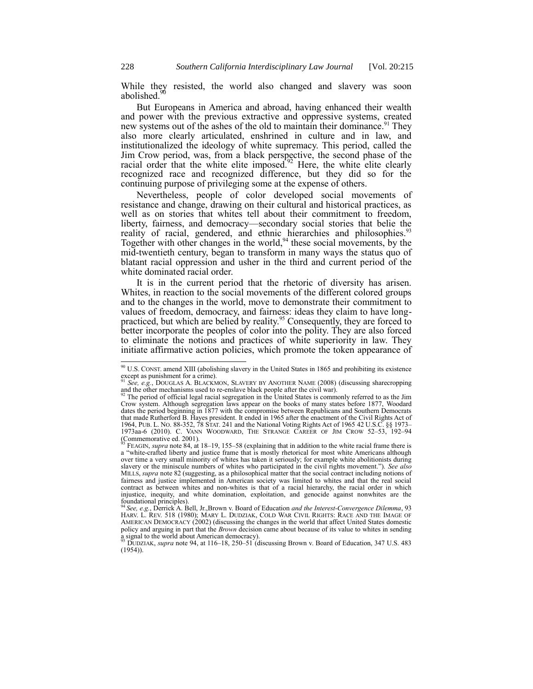<span id="page-13-0"></span>While they resisted, the world also changed and slavery was soon abolished.<sup>90</sup>

But Europeans in America and abroad, having enhanced their wealth and power with the previous extractive and oppressive systems, created new systems out of the ashes of the old to maintain their dominance.<sup>91</sup> They also more clearly articulated, enshrined in culture and in law, and institutionalized the ideology of white supremacy. This period, called the Jim Crow period, was, from a black perspective, the second phase of the racial order that the white elite imposed.<sup>92</sup> Here, the white elite clearly recognized race and recognized difference, but they did so for the continuing purpose of privileging some at the expense of others.

Nevertheless, people of color developed social movements of resistance and change, drawing on their cultural and historical practices, as well as on stories that whites tell about their commitment to freedom, liberty, fairness, and democracy—secondary social stories that belie the reality of racial, gendered, and ethnic hierarchies and philosophies.<sup>93</sup> Together with other changes in the world,  $94$  these social movements, by the mid-twentieth century, began to transform in many ways the status quo of blatant racial oppression and usher in the third and current period of the white dominated racial order.

<span id="page-13-1"></span>It is in the current period that the rhetoric of diversity has arisen. Whites, in reaction to the social movements of the different colored groups and to the changes in the world, move to demonstrate their commitment to values of freedom, democracy, and fairness: ideas they claim to have longpracticed, but which are belied by reality.<sup>95</sup> Consequently, they are forced to better incorporate the peoples of color into the polity. They are also forced to eliminate the notions and practices of white superiority in law. They initiate affirmative action policies, which promote the token appearance of

 $90$  U.S. CONST. amend XIII (abolishing slavery in the United States in 1865 and prohibiting its existence  $\frac{1}{91}$  except as punishment for a crime).

See, e.g., DOUGLAS A. BLACKMON, SLAVERY BY ANOTHER NAME (2008) (discussing sharecropping and the other mechanisms used to re-enslave black people after the civil war).

 $<sup>2</sup>$  The period of official legal racial segregation in the United States is commonly referred to as the Jim</sup> Crow system. Although segregation laws appear on the books of many states before 1877, Woodard dates the period beginning in 1877 with the compromise between Republicans and Southern Democrats that made Rutherford B. Hayes president. It ended in 1965 after the enactment of the Civil Rights Act of 1964, PUB. L. NO. 88-352, 78 STAT. 241 and the National Voting Rights Act of 1965 42 U.S.C. §§ 1973– 1973aa-6 (2010). C. VANN WOODWARD, THE STRANGE CAREER OF JIM CROW 52–53, 192–94 (Commemorative ed. 2001).

<sup>&</sup>lt;sup>93</sup> FEAGIN, *supra* not[e 84,](#page-12-0) at 18–19, 155–58 (explaining that in addition to the white racial frame there is a "white-crafted liberty and justice frame that is mostly rhetorical for most white Americans although over time a very small minority of whites has taken it seriously; for example white abolitionists during slavery or the miniscule numbers of whites who participated in the civil rights movement."). *See also* MILLS, *supra* not[e 82](#page-11-1) (suggesting, as a philosophical matter that the social contract including notions of fairness and justice implemented in American society was limited to whites and that the real social contract as between whites and non-whites is that of a racial hierarchy, the racial order in which injustice, inequity, and white domination, exploitation, and genocide against nonwhites are the

foundational principles).<br><sup>94</sup> See, e.g., Derrick A. Bell, Jr.,Brown v. Board of Education *and the Interest-Convergence Dilemma*, 93<br>HARV. L. REV. 518 (1980); MARY L. DUDZIAK, COLD WAR CIVIL RIGHTS: RACE AND THE IMAGE OF AMERICAN DEMOCRACY (2002) (discussing the changes in the world that affect United States domestic policy and arguing in part that the *Brown* decision came about because of its value to whites in sending

a signal to the world about American democracy). <sup>95</sup> DUDZIAK, *supra* note [94,](#page-13-1) at 116–18, 250–51 (discussing Brown v. Board of Education, 347 U.S. 483 (1954)).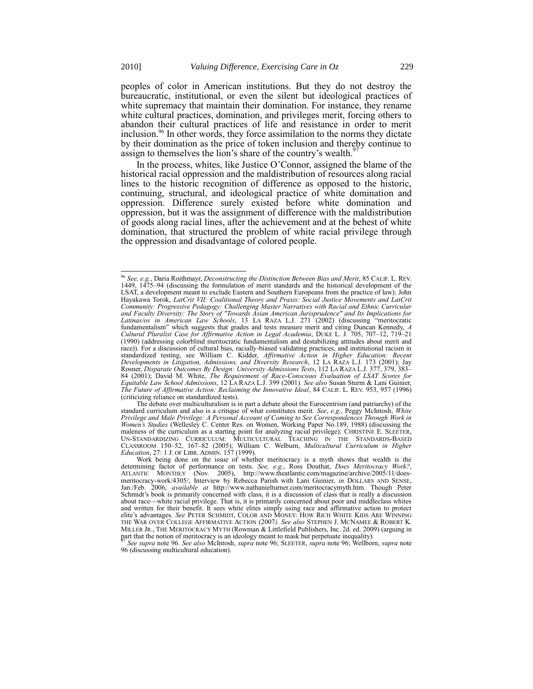peoples of color in American institutions. But they do not destroy the bureaucratic, institutional, or even the silent but ideological practices of white supremacy that maintain their domination. For instance, they rename white cultural practices, domination, and privileges merit, forcing others to abandon their cultural practices of life and resistance in order to merit inclusion.<sup>96</sup> In other words, they force assimilation to the norms they dictate by their domination as the price of token inclusion and thereby continue to assign to themselves the lion's share of the country's wealth.<sup>9</sup>

<span id="page-14-0"></span>In the process, whites, like Justice O'Connor, assigned the blame of the historical racial oppression and the maldistribution of resources along racial lines to the historic recognition of difference as opposed to the historic, continuing, structural, and ideological practice of white domination and oppression. Difference surely existed before white domination and oppression, but it was the assignment of difference with the maldistribution of goods along racial lines, after the achievement and at the behest of white domination, that structured the problem of white racial privilege through the oppression and disadvantage of colored people.

The debate over multiculturalism is in part a debate about the Eurocentrism (and patriarchy) of the standard curriculum and also is a critique of what constitutes merit. *See*, *e.g.*, Peggy McIntosh, *White Privilege and Male Privilege: A Personal Account of Coming to See Correspondences Through Work in Women's Studies* (Wellesley C. Center Res. on Women, Working Paper No.189, 1988) (discussing the maleness of the curriculum as a starting point for analyzing racial privilege); CHRISTINE E. SLEETER, UN-STANDARDIZING CURRICULUM: MULTICULTURAL TEACHING IN THE STANDARDS-BASED CLASSROOM 150–52, 167–82 (2005); William C. Welburn, *Multicultural Curriculum in Higher Education*, 27: 1 J. OF LIBR. ADMIN. 157 (1999).

<sup>&</sup>lt;sup>96</sup> See, e.g., Daria Roithmayr, *Deconstructing the Distinction Between Bias and Merit*, 85 CALIF. L. REV.<br>1449, 1475–94 (discussing the formulation of merit standards and the historical development of the LSAT, a development meant to exclude Eastern and Southern Europeans from the practice of law); John Hayakawa Torok, *LatCrit VII: Coalitional Theory and Praxis: Social Justice Movements and LatCrit Community: Progressive Pedagogy: Challenging Master Narratives with Racial and Ethnic Curricular and Faculty Diversity: The Story of "Towards Asian American Jurisprudence" and Its Implications for*  Latinas/os in American Law Schools, 13 LA RAZA L.J. 271 (2002) (discussing "meritocratic fundamentalism" which suggests that grades and tests measure merit and citing Duncan Kennedy, *A Cultural Pluralist Case for Affirmative Action in Legal Academia*, DUKE L. [J. 705, 707](http://www.lexis.com/research/buttonTFLink?_m=b556d3f329eae422ae60f1abfc3c26c0&_xfercite=%3ccite%20cc%3d%22USA%22%3e%3c%21%5bCDATA%5b13%20La%20Raza%20L.J.%20271%5d%5d%3e%3c%2fcite%3e&_butType=3&_butStat=2&_butNum=282&_butInline=1&_butinfo=%3ccite%20cc%3d%22USA%22%3e%3c%21%5bCDATA%5b1990%20Duke%20L.J.%20705%2cat%20707%5d%5d%3e%3c%2fcite%3e&_fmtstr=FULL&docnum=4&_startdoc=1&wchp=dGLzVlz-zSkAB&_md5=f2292de678944cd557af125e2b10e141)–12, 719–21 [\(1990\)](http://www.lexis.com/research/buttonTFLink?_m=b556d3f329eae422ae60f1abfc3c26c0&_xfercite=%3ccite%20cc%3d%22USA%22%3e%3c%21%5bCDATA%5b13%20La%20Raza%20L.J.%20271%5d%5d%3e%3c%2fcite%3e&_butType=3&_butStat=2&_butNum=282&_butInline=1&_butinfo=%3ccite%20cc%3d%22USA%22%3e%3c%21%5bCDATA%5b1990%20Duke%20L.J.%20705%2cat%20707%5d%5d%3e%3c%2fcite%3e&_fmtstr=FULL&docnum=4&_startdoc=1&wchp=dGLzVlz-zSkAB&_md5=f2292de678944cd557af125e2b10e141) (addressing colorblind meritocratic fundamentalism and destabilizing attitudes about merit and race)). For a discussion of cultural bias, racially-biased validating practices, and institutional racism in standardized testing, see William C. Kidder, *Affirmative Action in Higher Education: Recent Developments in Litigation, Admissions, and Diversity Research*, 12 LA RAZA L.J. 173 (2001); Jay Rosner, *Disparate Outcomes By Design: University Admissions Tests*, 112 LA RAZA L.J. 377, 379, 383– 84 (2001); David M. White, *The Requirement of Race-Conscious Evaluation of LSAT Scores for Equitable Law School Admissions*, 12 LA RAZA L.J. 399 (2001). *See also* Susan Sturm & Lani Guinier, *The Future of Affirmative Action: Reclaiming the Innovative Ideal*, 84 CALIF. L. REV[. 953, 957 \(1996\)](http://www.lexis.com/research/buttonTFLink?_m=b556d3f329eae422ae60f1abfc3c26c0&_xfercite=%3ccite%20cc%3d%22USA%22%3e%3c%21%5bCDATA%5b13%20La%20Raza%20L.J.%20271%5d%5d%3e%3c%2fcite%3e&_butType=3&_butStat=2&_butNum=286&_butInline=1&_butinfo=%3ccite%20cc%3d%22USA%22%3e%3c%21%5bCDATA%5b84%20Calif.%20L.%20Rev.%20953%2cat%20957%5d%5d%3e%3c%2fcite%3e&_fmtstr=FULL&docnum=4&_startdoc=1&wchp=dGLzVlz-zSkAB&_md5=fb98d549fbcf6e0f316e125ce67e1d7a) (criticizing reliance on standardized tests).

Work being done on the issue of whether meritocracy is a myth shows that wealth is the determining factor of performance on tests. *See, e.g.*, Ross Douthat, *Does Meritocracy Work?*, ATLANTIC MONTHLY (Nov. 2005), http://www.theatlantic.com/magazine/archive/2005/11/doesmeritocracy-work/4305/; Interview by Rebecca Parish with Lani Guinier, *in* DOLLARS AND SENSE, Jan./Feb. 2006, *available at* http://www.nathanielturner.com/meritocracymyth.htm. Though Peter Schmidt's book is primarily concerned with class, it is a discussion of class that is really a discussion about race—white racial privilege. That is, it is primarily concerned about poor and middleclass whites and written for their benefit. It sees white elites simply using race and affirmative action to protect elite's advantages. *See* PETER SCHMIDT, COLOR AND MONEY: HOW RICH WHITE KIDS ARE WINNING THE WAR OVER COLLEGE AFFIRMATIVE ACTION (2007*). See also* STEPHEN J. MCNAMEE & ROBERT K. MILLER JR., THE MERITOCRACY MYTH (Rowman & Littlefield Publishers, Inc. 2d. ed. 2009) (arguing in part that the notion of meritocracy is an ideology meant to mask but perpetuate inequality).

<sup>97</sup> *See supra* not[e 96.](#page-14-0) *See also* McIntosh, *supra* note [96;](#page-14-0) SLEETER, *supra* not[e 96;](#page-14-0) Wellborn, *supra* note [96](#page-14-0) (discussing multicultural education).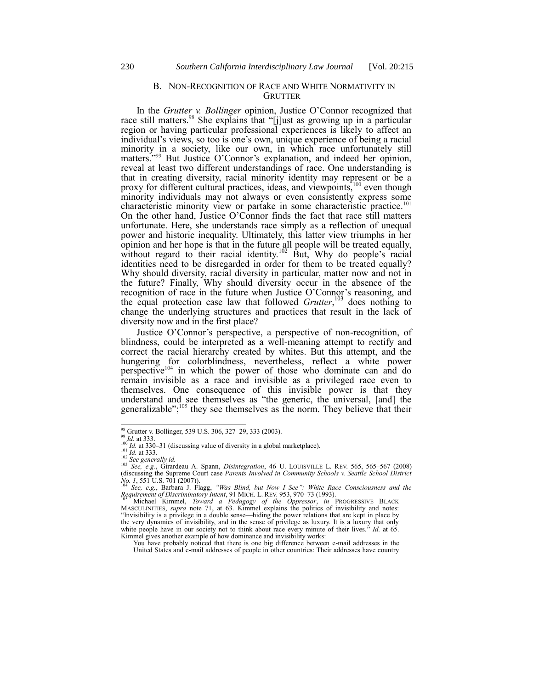#### <span id="page-15-0"></span>B. NON-RECOGNITION OF RACE AND WHITE NORMATIVITY IN **GRUTTER**

In the *Grutter v. Bollinger* opinion, Justice O'Connor recognized that race still matters.<sup>98</sup> She explains that "[j]ust as growing up in a particular region or having particular professional experiences is likely to affect an individual's views, so too is one's own, unique experience of being a racial minority in a society, like our own, in which race unfortunately still matters."<sup>99</sup> But Justice O'Connor's explanation, and indeed her opinion, reveal at least two different understandings of race. One understanding is that in creating diversity, racial minority identity may represent or be a proxy for different cultural practices, ideas, and viewpoints,<sup>100</sup> even though minority individuals may not always or even consistently express some characteristic minority view or partake in some characteristic practice.<sup>101</sup> On the other hand, Justice O'Connor finds the fact that race still matters unfortunate. Here, she understands race simply as a reflection of unequal power and historic inequality. Ultimately, this latter view triumphs in her opinion and her hope is that in the future all people will be treated equally, without regard to their racial identity.<sup>102</sup> But, Why do people's racial identities need to be disregarded in order for them to be treated equally? Why should diversity, racial diversity in particular, matter now and not in the future? Finally, Why should diversity occur in the absence of the recognition of race in the future when Justice O'Connor's reasoning, and the equal protection case law that followed *Grutter*, <sup>103</sup> does nothing to change the underlying structures and practices that result in the lack of diversity now and in the first place?

Justice O'Connor's perspective, a perspective of non-recognition, of blindness, could be interpreted as a well-meaning attempt to rectify and correct the racial hierarchy created by whites. But this attempt, and the hungering for colorblindness, nevertheless, reflect a white power perspective<sup>104</sup> in which the power of those who dominate can and do remain invisible as a race and invisible as a privileged race even to themselves. One consequence of this invisible power is that they understand and see themselves as "the generic, the universal, [and] the generalizable"; $\frac{105}{105}$  they see themselves as the norm. They believe that their

l

You have probably noticed that there is one big difference between e-mail addresses in the United States and e-mail addresses of people in other countries: Their addresses have country

<sup>98</sup> Grutter v. Bollinger, 539 U.S. 306, 327–29, 333 (2003).

<sup>99</sup> *Id.* at 333.

<sup>&</sup>lt;sup>100</sup> *Id.* at 330–31 (discussing value of diversity in a global marketplace). *Id.* at 333.

<sup>102</sup> *See generally id.*

<sup>&</sup>lt;sup>103</sup> *See, e.g.*, Girardeau A. Spann, *Disintegration*, 46 U. LOUISVILLE L. REV. 565, 565–567 (2008) (discussing the Supreme Court case *Parents Involved in Community Schools v. Seattle School District* 

No. 1, 551 U.S. 701 (2007)).<br><sup>104</sup> See, e.g., Barbara J. Flagg, "Was Blind, but Now I See": White Race Consciousness and the<br>Requirement of Discriminatory Intent, 91 MICH. L. REV. 953, 970–73 (1993).<br><sup>105</sup> Michael Kimmel,

MASCULINITIES, *supra* note [71,](#page-9-0) at 63. Kimmel explains the politics of invisibility and notes:<br>"Invisibility is a privilege in a double sense—hiding the power relations that are kept in place by the very dynamics of invisibility, and in the sense of privilege as luxury. It is a luxury that only white people have in our society not to think about race every minute of their lives.<sup>"</sup> *Id.* at 65. white people have in our society not to think about race every minute of their lives."  $Id$  at 65.<br>Kimmel gives another example of how dominance and invisibility works: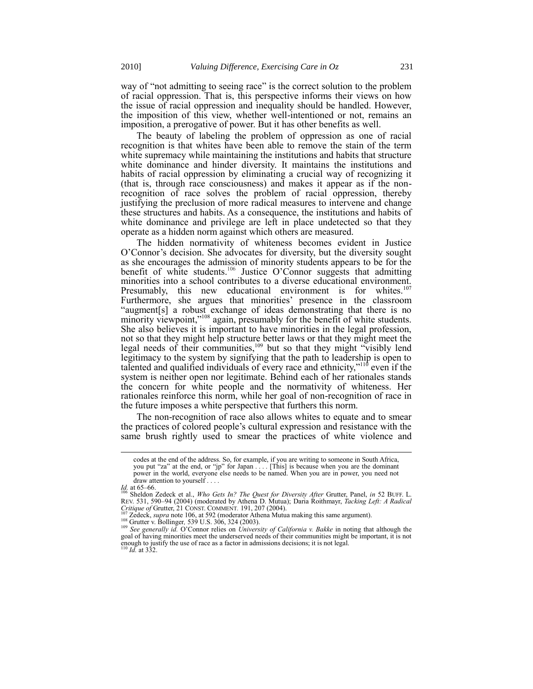way of "not admitting to seeing race" is the correct solution to the problem of racial oppression. That is, this perspective informs their views on how the issue of racial oppression and inequality should be handled. However, the imposition of this view, whether well-intentioned or not, remains an imposition, a prerogative of power. But it has other benefits as well.

The beauty of labeling the problem of oppression as one of racial recognition is that whites have been able to remove the stain of the term white supremacy while maintaining the institutions and habits that structure white dominance and hinder diversity. It maintains the institutions and habits of racial oppression by eliminating a crucial way of recognizing it (that is, through race consciousness) and makes it appear as if the nonrecognition of race solves the problem of racial oppression, thereby justifying the preclusion of more radical measures to intervene and change these structures and habits. As a consequence, the institutions and habits of white dominance and privilege are left in place undetected so that they operate as a hidden norm against which others are measured.

<span id="page-16-0"></span>The hidden normativity of whiteness becomes evident in Justice O'Connor's decision. She advocates for diversity, but the diversity sought as she encourages the admission of minority students appears to be for the benefit of white students.<sup>106</sup> Justice O'Connor suggests that admitting minorities into a school contributes to a diverse educational environment. Presumably, this new educational environment is for whites.<sup>107</sup> Furthermore, she argues that minorities' presence in the classroom "augment [s] a robust exchange of ideas demonstrating that there is no minority viewpoint,<sup>2108</sup> again, presumably for the benefit of white students. She also believes it is important to have minorities in the legal profession, not so that they might help structure better laws or that they might meet the legal needs of their communities,<sup>109</sup> but so that they might "visibly lend legitimacy to the system by signifying that the path to leadership is open to talented and qualified individuals of every race and ethnicity,"<sup>110</sup> even if the system is neither open nor legitimate. Behind each of her rationales stands the concern for white people and the normativity of whiteness. Her rationales reinforce this norm, while her goal of non-recognition of race in the future imposes a white perspective that furthers this norm.

The non-recognition of race also allows whites to equate and to smear the practices of colored people's cultural expression and resistance with the same brush rightly used to smear the practices of white violence and

l

<sup>108</sup> Grutter v. Bollinger*,* 539 U.S. 306, 324 (2003).

codes at the end of the address. So, for example, if you are writing to someone in South Africa, you put "za" at the end, or "jp" for Japan . . . . [This] is because when you are the dominant power in the world, everyone else needs to be named. When you are in power, you need not  $\alpha$  draw attention to yourself  $\ldots$ .

*Id.* at 65–66. <sup>106</sup> Sheldon Zedeck et al., *Who Gets In? The Quest for Diversity After* Grutter, Panel, *in* 52 BUFF. L. REV. 531, 590–94 (2004) (moderated by Athena D. Mutua); Daria Roithmayr, *Tacking Left: A Radical Critique of* Grutter, 21 CONST. COMMENT*.* 191, 207 (2004). <sup>107</sup> Zedeck, *supra* not[e 106,](#page-16-0) at 592 (moderator Athena Mutua making this same argument).

<sup>&</sup>lt;sup>109</sup> See generally id. O'Connor relies on *University of California v. Bakke* in noting that although the goal of having minorities meet the underserved needs of their communities might be important, it is not enough to justify the use of race as a factor in admissions decisions; it is not legal. <sup>110</sup> *Id.* at 332.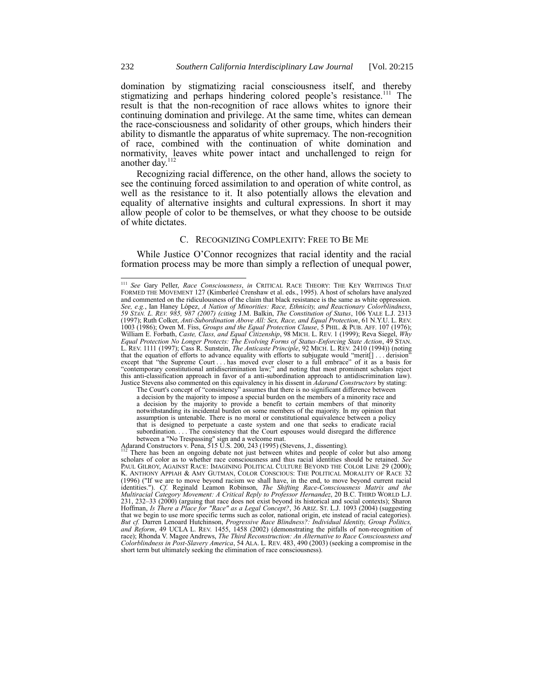domination by stigmatizing racial consciousness itself, and thereby stigmatizing and perhaps hindering colored people's resistance.<sup>111</sup> The result is that the non-recognition of race allows whites to ignore their continuing domination and privilege. At the same time, whites can demean the race-consciousness and solidarity of other groups, which hinders their ability to dismantle the apparatus of white supremacy. The non-recognition of race, combined with the continuation of white domination and normativity, leaves white power intact and unchallenged to reign for another day.

<span id="page-17-0"></span>Recognizing racial difference, on the other hand, allows the society to see the continuing forced assimilation to and operation of white control, as well as the resistance to it. It also potentially allows the elevation and equality of alternative insights and cultural expressions. In short it may allow people of color to be themselves, or what they choose to be outside of white dictates.

# C. RECOGNIZING COMPLEXITY: FREE TO BE ME

While Justice O'Connor recognizes that racial identity and the racial formation process may be more than simply a reflection of unequal power,

a decision by the majority to impose a special burden on the members of a minority race and a decision by the majority to provide a benefit to certain members of that minority notwithstanding its incidental burden on some members of the majority. In my opinion that assumption is untenable. There is no moral or constitutional equivalence between a policy that is designed to perpetuate a caste system and one that seeks to eradicate racial subordination. . . . The consistency that the Court espouses would disregard the difference between a "No Trespassing" sign and a welcome mat.

Adarand Constructors v. Pena, 515 U.S. 200, 243 (1995) (Stevens, J., dissenting).<br><sup>112</sup> There has been an exercise 515 U.S. 200, 243 (1995) (Stevens, J., dissenting).

<sup>111</sup> *See* Gary Peller, *Race Consciousness*, *in* CRITICAL RACE THEORY: THE KEY WRITINGS THAT FORMED THE MOVEMENT 127 (Kimberleé Crenshaw et al. eds., 1995). A host of scholars have analyzed and commented on the ridiculousness of the claim that black resistance is the same as white oppression. *See, e.g.*, Ian Haney López, *A Nation of Minorities: Race, Ethnicity, and Reactionary Colorblindness*, *59 STAN. L. REV. 985, 987 (2007) (citing* J.M. Balkin, *The Constitution of Status*, 106 YALE L.J. 2313 (1997); Ruth Colker, *Anti-Subordination Above All: Sex, Race, and Equal Protection*, 61 N.Y.U. L. REV. 1003 (1986); Owen M. Fiss, *Groups and the Equal Protection Clause*, 5 PHIL. & PUB. AFF. 107 (1976); William E. Forbath, *Caste, Class, and Equal Citizenship*, 98 MICH. L. REV. 1 (1999); Reva Siegel, *Why Equal Protection No Longer Protects: The Evolving Forms of Status-Enforcing State Action*, 49 STAN. L. REV. 1111 (1997); Cass R. Sunstein, *The Anticaste Principle*, 92 MICH. L. REV. 2410 (1994)) (noting that the equation of efforts to advance equality with efforts to subjugate would "merit[] ... derision" except that "the Supreme Court . . . has moved ever closer to a full embrace" of it as a basis for "contemporary constitutional antidiscrimination law;" and noting that most prominent scholars reject this anti-classification approach in favor of a anti-subordination approach to antidiscrimination law). Justice Stevens also commented on this equivalency in his dissent in *Adarand Constructors* by stating:<br>The Court's concept of "consistency" assumes that there is no significant difference between

There has been an ongoing debate not just between whites and people of color but also among scholars of color as to whether race consciousness and thus racial identities should be retained. *See* PAUL GILROY, AGAINST RACE: IMAGINING POLITICAL CULTURE BEYOND THE COLOR LINE 29 (2000); K. ANTHONY APPIAH & AMY GUTMAN, COLOR CONSCIOUS: THE POLITICAL MORALITY OF RACE 32 (1996) ("If we are to move beyond racism we shall have, in the end, to move beyond current racial identities."). *Cf.* Reginald Leamon Robinson, *The Shifting Race-Consciousness Matrix and the Multiracial Category Movement: A Critical Reply to Professor Hernandez*, 20 B.C. THIRD WORLD L.J. 231, 232–33 (2000) (arguing that race does not exist beyond its historical and social contexts); Sharon Hoffman, *Is There a Place for "Race" as a Legal Concept?*, 36 ARIZ. ST. L.J. 1093 (2004) (suggesting that we begin to use more specific terms such as color, national origin, etc instead of racial categories). *But cf.* Darren Lenoard Hutchinson, *Progressive Race Blindness?: Individual Identity, Group Politics, and Reform*, 49 UCLA L. REV. 1455, 1458 (2002) (demonstrating the pitfalls of non-recognition of race); Rhonda V. Magee Andrews, *The Third Reconstruction: An Alternative to Race Consciousness and Colorblindness in Post-Slavery America*, 54 ALA. L. REV. 483, 490 (2003) (seeking a compromise in the short term but ultimately seeking the elimination of race consciousness).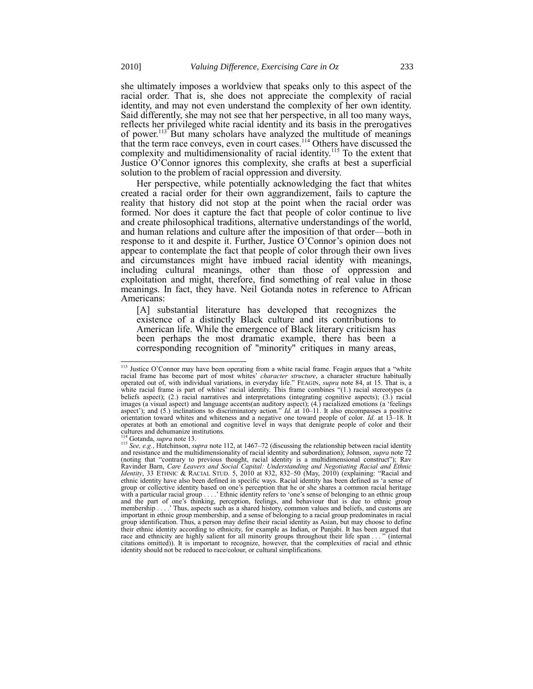<span id="page-18-0"></span>she ultimately imposes a worldview that speaks only to this aspect of the racial order. That is, she does not appreciate the complexity of racial identity, and may not even understand the complexity of her own identity. Said differently, she may not see that her perspective, in all too many ways, reflects her privileged white racial identity and its basis in the prerogatives of power.<sup>113\*</sup> But many scholars have analyzed the multitude of meanings that the term race conveys, even in court cases.<sup>114</sup> Others have discussed the complexity and multidimensionality of racial identity.<sup>115</sup> To the extent that Justice O'Connor ignores this complexity, she crafts at best a superficial solution to the problem of racial oppression and diversity.

Her perspective, while potentially acknowledging the fact that whites created a racial order for their own aggrandizement, fails to capture the reality that history did not stop at the point when the racial order was formed. Nor does it capture the fact that people of color continue to live and create philosophical traditions, alternative understandings of the world, and human relations and culture after the imposition of that order—both in response to it and despite it. Further, Justice O'Connor's opinion does not appear to contemplate the fact that people of color through their own lives and circumstances might have imbued racial identity with meanings, including cultural meanings, other than those of oppression and exploitation and might, therefore, find something of real value in those meanings. In fact, they have. Neil Gotanda notes in reference to African Americans:

[A] substantial literature has developed that recognizes the existence of a distinctly Black culture and its contributions to American life. While the emergence of Black literary criticism has been perhaps the most dramatic example, there has been a corresponding recognition of "minority" critiques in many areas,

<sup>&</sup>lt;sup>113</sup> Justice O'Connor may have been operating from a white racial frame. Feagin argues that a "white racial frame has become part of most whites' *character structure*, a character structure habitually operated out of, with individual variations, in everyday life." FEAGIN, *supra* note [84,](#page-12-0) at 15. That is, a white racial frame is part of whites' racial identity. This frame combines "(1.) racial stereotypes (a beliefs aspect); (2.) racial narratives and interpretations (integrating cognitive aspects); (3.) racial images (a visual aspect) and language accents(an auditory aspect); (4.) racialized emotions (a 'feelings aspect'); and (5.) inclinations to discriminatory action.<sup>9</sup> *Id.* at 10–11. It also encompasses a positive orientation toward whites and whiteness and a negative one toward people of color*. Id.* at 13–18. It operates at both an emotional and cognitive level in ways that denigrate people of color and their cultures and dehumanize institutions.

Gotanda, *supra* not[e 13.](#page-2-0)

<sup>115</sup> *See, e.g.*, Hutchinson, *supra* not[e 112,](#page-17-0) at 1467–72 (discussing the relationship between racial identity and resistance and the multidimensionality of racial identity and subordination); Johnson, *supra* not[e 72](#page-9-1) (noting that "contrary to previous thought, racial identity is a multidimensional construct"); Rav Ravinder Barn, *Care Leavers and Social Capital: Understanding and Negotiating Racial and Ethnic*<br>*Identity*, 33 ETHNIC & RACIAL STUD. 5, 2010 at 832, 832–50 (May, 2010) (explaining: "Racial and ethnic identity have also been defined in specific ways. Racial identity has been defined as 'a sense of group or collective identity based on one's perception that he or she shares a common racial heritage with a particular racial group . . . .' Ethnic identity refers to ‗one's sense of belonging to an ethnic group and the part of one's thinking, perception, feelings, and behaviour that is due to ethnic group membership . . . .' Thus, aspects such as a shared history, common values and beliefs, and customs are important in ethnic group membership, and a sense of belonging to a racial group predominates in racial group identification. Thus, a person may define their racial identity as Asian, but may choose to define their ethnic identity according to ethnicity, for example as Indian, or Punjabi. It has been argued that race and ethnicity are highly salient for all minority groups throughout their life span . . . " (internal citations omitted)). It is important to recognize, however, that the complexities of racial and ethnic identity should not be reduced to race/colour, or cultural simplifications.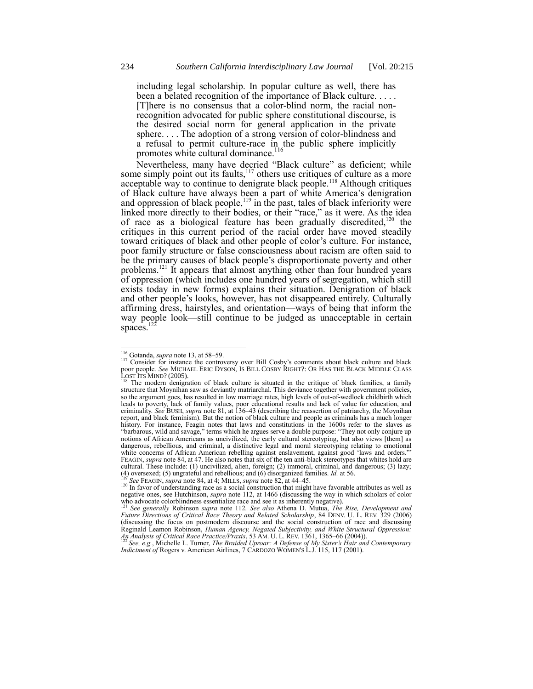including legal scholarship. In popular culture as well, there has been a belated recognition of the importance of Black culture. . . . . [T]here is no consensus that a color-blind norm, the racial nonrecognition advocated for public sphere constitutional discourse, is the desired social norm for general application in the private sphere. . . . The adoption of a strong version of color-blindness and a refusal to permit culture-race in the public sphere implicitly promotes white cultural dominance.<sup>116</sup>

Nevertheless, many have decried "Black culture" as deficient; while some simply point out its faults,<sup>117</sup> others use critiques of culture as a more acceptable way to continue to denigrate black people.<sup>118</sup> Although critiques of Black culture have always been a part of white America's denigration and oppression of black people,  $119$  in the past, tales of black inferiority were linked more directly to their bodies, or their "race," as it were. As the idea of race as a biological feature has been gradually discredited,<sup>120</sup> the critiques in this current period of the racial order have moved steadily toward critiques of black and other people of color's culture. For instance, poor family structure or false consciousness about racism are often said to be the primary causes of black people's disproportionate poverty and other problems.<sup>121</sup> It appears that almost anything other than four hundred years of oppression (which includes one hundred years of segregation, which still exists today in new forms) explains their situation. Denigration of black and other people's looks, however, has not disappeared entirely. Culturally affirming dress, hairstyles, and orientation—ways of being that inform the way people look—still continue to be judged as unacceptable in certain spaces. $1$ 

<sup>116</sup> Gotanda, *supra* not[e 13,](#page-2-0) at 58–59.

<sup>&</sup>lt;sup>117</sup> Consider for instance the controversy over Bill Cosby's comments about black culture and black poor people. *See* MICHAEL ERIC DYSON, IS BILL COSBY RIGHT?: OR HAS THE BLACK MIDDLE CLASS  $\frac{\text{LOST}}{\text{118}}$  The modern during

The modern denigration of black culture is situated in the critique of black families, a family structure that Moynihan saw as deviantly matriarchal. This deviance together with government policies, so the argument goes, has resulted in low marriage rates, high levels of out-of-wedlock childbirth which leads to poverty, lack of family values, poor educational results and lack of value for education, and criminality. *See* BUSH, *supra* note [81,](#page-11-0) at 136–43 (describing the reassertion of patriarchy, the Moynihan report, and black feminism). But the notion of black culture and people as criminals has a much longer history. For instance, Feagin notes that laws and constitutions in the 1600s refer to the slaves as "barbarous, wild and savage," terms which he argues serve a double purpose: "They not only conjure up notions of African Americans as uncivilized, the early cultural stereotyping, but also views [them] as dangerous, rebellious, and criminal, a distinctive legal and moral stereotyping relating to emotional white concerns of African American rebelling against enslavement, against good 'laws and orders.' FEAGIN, *supra* not[e 84,](#page-12-0) at 47. He also notes that six of the ten anti-black stereotypes that whites hold are cultural. These include: (1) uncivilized, alien, foreign; (2) immoral, criminal, and dangerous; (3) lazy; (4) oversexed; (5) ungrateful and rebellious; and (6) disorganized families. *Id.* at 56. <sup>119</sup> *See* FEAGIN, *supra* not[e 84,](#page-12-0) at 4; MILLS, *supra* note [82,](#page-11-1) at 44–45.

<sup>&</sup>lt;sup>120</sup> In favor of understanding race as a social construction that might have favorable attributes as well as negative ones, see Hutchinson, *supra* not[e 112,](#page-17-0) at 1466 (discussing the way in which scholars of color

who advocate colorblindness essentialize race and see it as inherently negative).<br><sup>121</sup> See generally Robinson *supra* note [112](#page-17-0). See also Athena D. Mutua, *The Rise, Development and*<br>Future Directions of Critical Race Theo (discussing the focus on postmodern discourse and the social construction of race and discussing Reginald Leamon Robinson, *Human Agency, Negated Subjectivity, and White Structural Oppression:*<br>An Analysis of Critical Race Practice/Praxis, 53 AM. U. L. REV. 1361, 1365–66 (2004)).<br><sup>122</sup> See, e.g., Michelle L. Turner,

*Indictment of* Rogers v. American Airlines, 7 CARDOZO WOMEN'S L.J. 115, 117 (2001).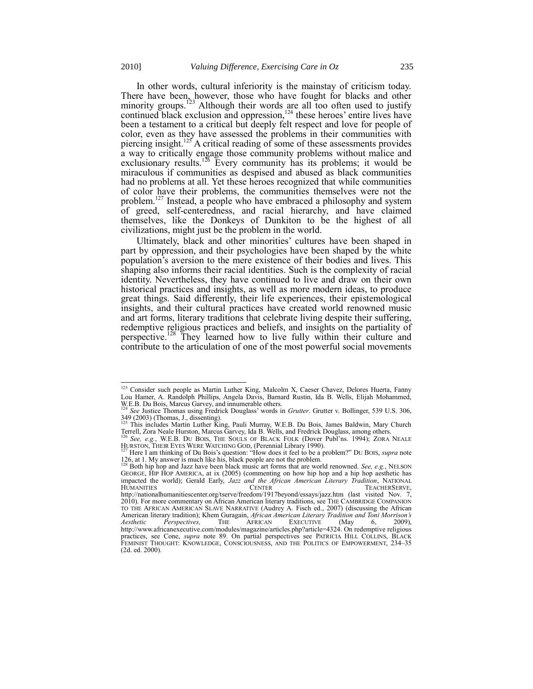In other words, cultural inferiority is the mainstay of criticism today.

<span id="page-20-0"></span>There have been, however, those who have fought for blacks and other minority groups.<sup>123</sup> Although their words are all too often used to justify continued black exclusion and oppression,<sup>124</sup> these heroes' entire lives have been a testament to a critical but deeply felt respect and love for people of color, even as they have assessed the problems in their communities with piercing insight.<sup>125</sup> A critical reading of some of these assessments provides a way to critically engage those community problems without malice and exclusionary results.<sup>126</sup> Every community has its problems; it would be miraculous if communities as despised and abused as black communities had no problems at all. Yet these heroes recognized that while communities of color have their problems, the communities themselves were not the problem.<sup>127</sup> Instead, a people who have embraced a philosophy and system of greed, self-centeredness, and racial hierarchy, and have claimed themselves, like the Donkeys of Dunkiton to be the highest of all civilizations, might just be the problem in the world.

Ultimately, black and other minorities' cultures have been shaped in part by oppression, and their psychologies have been shaped by the white population's aversion to the mere existence of their bodies and lives. This shaping also informs their racial identities. Such is the complexity of racial identity. Nevertheless, they have continued to live and draw on their own historical practices and insights, as well as more modern ideas, to produce great things. Said differently, their life experiences, their epistemological insights, and their cultural practices have created world renowned music and art forms, literary traditions that celebrate living despite their suffering, redemptive religious practices and beliefs, and insights on the partiality of perspective.<sup>128</sup> They learned how to live fully within their culture and contribute to the articulation of one of the most powerful social movements

l <sup>123</sup> Consider such people as Martin Luther King, Malcolm X, Caeser Chavez, Delores Huerta, Fanny Lou Hamer, A. Randolph Phillips, Angela Davis, Barnard Rustin, Ida B. Wells, Elijah Mohammed, W.E.B. Du Bois, Marcus Garvey, and innumerable others. <sup>124</sup> *See* Justice Thomas using Fredrick Douglass' words in *Grutter*. Grutter v. Bollinger, 539 U.S. 306,

<sup>349 (2003) (</sup>Thomas, J., dissenting).<br><sup>125</sup> This includes Martin Luther King, Pauli Murray, W.E.B. Du Bois, James Baldwin, Mary Church<br>Terrell, Zora Neale Hurston, Marcus Garvey, Ida B. Wells, and Fredrick Douglass, among o

HURSTON, THEIR EYES WERE WATCHING GOD, (Perennial Library 1990).<br><sup>127</sup> Here I am thinking of Du Bois's question: "How does it feel to be a problem?" DU BOIS, *supra* note

[<sup>126,</sup>](#page-20-0) at 1. My answer is much like his, black people are not the problem.

<sup>128</sup> Both hip hop and Jazz have been black music art forms that are world renowned. *See, e.g.*, NELSON GEORGE, HIP HOP AMERICA, at ix (2005) (commenting on how hip hop and a hip hop aesthetic has impacted the world); Gerald Early, *Jazz and the African American Literary Tradition*, NATIONAL HUMANITIES CENTER CENTER<br>http://nationalhumanitiescenter.org/tserve/freedom/1917beyond/essays/jazz.htm (last visited Nov. 7, 2010). For more commentary on African American literary traditions, see THE CAMBRIDGE COMPANION TO THE AFRICAN AMERICAN SLAVE NARRATIVE (Audrey A. Fisch ed., 2007) (discussing the African American literary tradition); Khem Guragain, *African American Literary Tradition and Toni Morrison's Aesthetic Perspectives,* THE AFRICAN EXECUTIVE (May 6, 2009), http://www.africanexecutive.com/modules/magazine/articles.php?article=4324. On redemptive religious practices, see Cone, *supra* note [89.](#page-12-1) On partial perspectives see PATRICIA HILL COLLINS, BLACK FEMINIST THOUGHT: KNOWLEDGE, CONSCIOUSNESS, AND THE POLITICS OF EMPOWERMENT, 234–35 (2d. ed. 2000).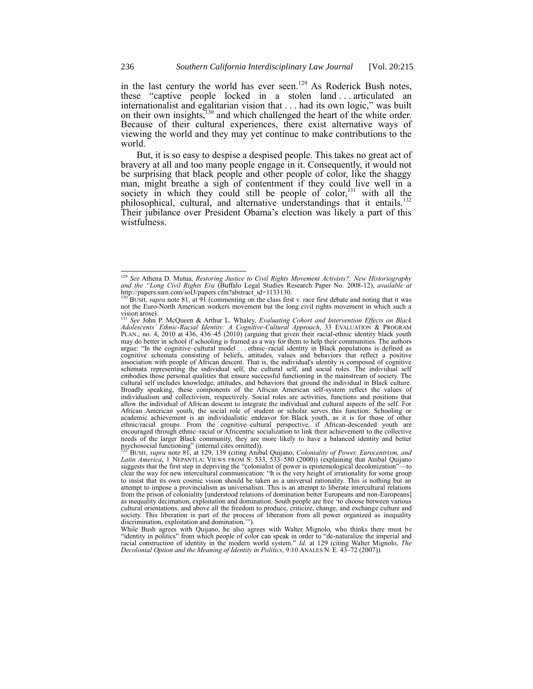in the last century the world has ever seen.<sup>129</sup> As Roderick Bush notes, these "captive people locked in a stolen land ... articulated an internationalist and egalitarian vision that . . . had its own logic," was built on their own insights, $130$  and which challenged the heart of the white order. Because of their cultural experiences, there exist alternative ways of viewing the world and they may yet continue to make contributions to the world.

But, it is so easy to despise a despised people. This takes no great act of bravery at all and too many people engage in it. Consequently, it would not be surprising that black people and other people of color, like the shaggy man, might breathe a sigh of contentment if they could live well in a society in which they could still be people of color,  $131$  with all the philosophical, cultural, and alternative understandings that it entails.<sup>132</sup> Their jubilance over President Obama's election was likely a part of this wistfulness.

<sup>&</sup>lt;sup>129</sup> See Athena D. Mutua, *Restoring Justice to Civil Rights Movement Activists?: New Historiography and the "Long Civil Rights Era (Buffalo Legal Studies Research Paper No. 2008-12), <i>available at* http://papers.ssrn.com/sol3/papers.cfm?abstract\_id=1133130.

<sup>130</sup> BUSH, *supra* not[e 81,](#page-11-0) at 91 (commenting on the class first v. race first debate and noting that it was not the Euro-North American workers movement but the long civil rights movement in which such a vision arose).

<sup>131</sup> *See* John P. McQueen & Arthur L. Whaley, *Evaluating Cohort and Intervention Effects on Black Adolescents' Ethnic-Racial Identity: A Cognitive-Cultural Approach*, 33 EVALUATION & PROGRAM PLAN., no. 4, 2010 at 436, 436–45 (2010) (arguing that given their racial-ethnic identity black youth may do better in school if schooling is framed as a way for them to help their communities. The authors argue: "In the cognitive–cultural model . . . ethnic–racial identity in Black populations is defined as cognitive schemata consisting of beliefs, attitudes, values and behaviors that reflect a positive association with people of African descent. That is, the individual's identity is composed of cognitive schemata representing the individual self, the cultural self, and social roles. The individual self embodies those personal qualities that ensure successful functioning in the mainstream of society. The cultural self includes knowledge, attitudes, and behaviors that ground the individual in Black culture. Broadly speaking, these components of the African American self-system reflect the values of individualism and collectivism, respectively. Social roles are activities, functions and positions that allow the individual of African descent to integrate the individual and cultural aspects of the self. For African American youth, the social role of student or scholar serves this function. Schooling or academic achievement is an individualistic endeavor for Black youth, as it is for those of other ethnic/racial groups. From the cognitive–cultural perspective, if African-descended youth are encouraged through ethnic–racial or Africentric socialization to link their achievement to the collective needs of the larger Black community, they are more likely to have a balanced identity and better psychosocial functioning" (internal cites omitted)).<br><sup>132</sup> BUSH, *supra* note [81,](#page-11-0) at 129, 139 (citing Anibal Quijano, *Coloniality of Power, Eurocentrism, and* 

*Latin America*, 1 NEPANTLA: VIEWS FROM S. 533, 533–580 (2000)) (explaining that Anibal Quijano suggests that the first step in depriving the "colonialist of power is epistemological decolonization"—to clear the way for new intercultural communication: "It is the very height of irrationality for some group to insist that its own cosmic vision should be taken as a universal rationality. This is nothing but an attempt to impose a provincialism as universalism. This is an attempt to liberate intercultural relations from the prison of coloniality [understood relations of domination better Europeans and non-Europeans] as inequality decimation, exploitation and domination. South people are free ‗to choose between various cultural orientations, and above all the freedom to produce, criticize, change, and exchange culture and society. This liberation is part of the process of liberation from all power organized as inequality discrimination, exploitation and domination."").

While Bush agrees with Quijano, he also agrees with Walter Mignolo, who thinks there must be "identity in politics" from which people of color can speak in order to "de-naturalize the imperial and racial construction of identity in the modern world system.<sup>"</sup> *Id.* at 129 (citing Walter Mignolo, *The The Construction* of *identity* in the modern world system." *Id.* at 129 (citing Walter Mignolo, *The Decolonial Option and the Meaning of Identity in Politics*, 9:10 ANALES N. E. 43–72 (2007)).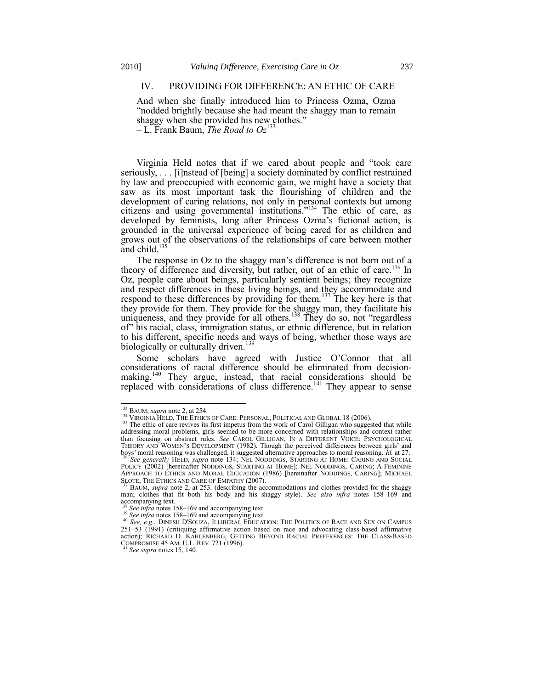# IV. PROVIDING FOR DIFFERENCE: AN ETHIC OF CARE

And when she finally introduced him to Princess Ozma, Ozma "nodded brightly because she had meant the shaggy man to remain shaggy when she provided his new clothes."

<span id="page-22-0"></span> $-L$ . Frank Baum, *The Road to Oz*<sup>13</sup>

Virginia Held notes that if we cared about people and "took care seriously, . . . [i]nstead of [being] a society dominated by conflict restrained by law and preoccupied with economic gain, we might have a society that saw as its most important task the flourishing of children and the development of caring relations, not only in personal contexts but among citizens and using governmental institutions.<sup> $2134$ </sup> The ethic of care, as developed by feminists, long after Princess Ozma's fictional action, is grounded in the universal experience of being cared for as children and grows out of the observations of the relationships of care between mother and child.<sup>135</sup>

<span id="page-22-2"></span>The response in Oz to the shaggy man's difference is not born out of a theory of difference and diversity, but rather, out of an ethic of care.<sup>136</sup> In Oz, people care about beings, particularly sentient beings; they recognize and respect differences in these living beings, and they accommodate and respond to these differences by providing for them.<sup>137</sup> The key here is that they provide for them. They provide for the shaggy man, they facilitate his uniqueness, and they provide for all others.<sup>138</sup> They do so, not "regardless" of" his racial, class, immigration status, or ethnic difference, but in relation to his different, specific needs and ways of being, whether those ways are biologically or culturally driven.

<span id="page-22-1"></span>Some scholars have agreed with Justice O'Connor that all considerations of racial difference should be eliminated from decisionmaking.<sup>140</sup> They argue, instead, that racial considerations should be replaced with considerations of class difference.<sup>141</sup> They appear to sense

<sup>133</sup> BAUM, *supra* not[e 2,](#page-0-0) at 254.

<sup>&</sup>lt;sup>134</sup> VIRGINIA HELD, THE ETHICS OF CARE: PERSONAL, POLITICAL AND GLOBAL 18 (2006).

<sup>&</sup>lt;sup>135</sup> The ethic of care revives its first impetus from the work of Carol Gilligan who suggested that while addressing moral problems, girls seemed to be more concerned with relationships and context rather than focusing on abstract rules. *See* CAROL GILLIGAN, IN A DIFFERENT VOICE: PSYCHOLOGICAL THEORY AND WOMEN'S DEVELOPMENT (1982). Though the perceived differences between girls' and boys' moral reasoning was challenged, it suggested alternative approaches to moral reasoning. *Id.* at 27.

<sup>&</sup>lt;sup>136</sup> See generally HELD, *supra* note [134;](#page-22-0) NEL NODDINGS, STARTING AT HOME: CARING AND SOCIAL POLICY (2002) [hereinafter NODDINGS, STARTING AT HOME]; NEL NODDINGS, CARING; A FEMININE APPROACH TO ETHICS AND MORAL EDUCATION (1986) [hereinafter NODDINGS, CARING]; MICHAEL SLOTE, THE ETHICS AND CARE OF EMPATHY (2007).

<sup>137</sup> BAUM, *supra* note [2,](#page-0-0) at 253. (describing the accommodations and clothes provided for the shaggy man; clothes that fit both his body and his shaggy style). *See also infra* notes [158](#page-24-0)–[169](#page-27-0) and  $\frac{1}{138}$   $\frac{1}{138}$   $\frac{1}{138}$ 

<sup>138</sup> *See infra* note[s 158](#page-24-0)–[169](#page-27-0) and accompanying text. <sup>139</sup> *See infra* note[s 158](#page-24-0)–[169](#page-27-0) and accompanying text.

<sup>&</sup>lt;sup>140</sup> See, e.g., DINESH D'SOUZA, ILLIBERAL EDUCATION: THE POLITICS OF RACE AND SEX ON CAMPUS 251–53 (1991) (critiquing affirmative action based on race and advocating class-based affirmative action); RICHARD D. KAHLENBERG, GETTING BEYOND RACIAL PREFERENCES: THE CLASS-BASED COMPROMISE 45 AM. U.L. REV. 721 (1996). <sup>141</sup> *See supra* note[s 15,](#page-2-1) [140.](#page-22-1)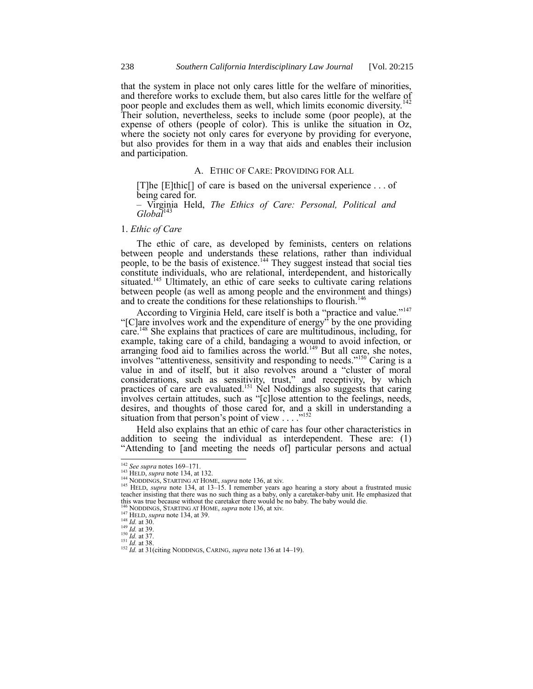that the system in place not only cares little for the welfare of minorities, and therefore works to exclude them, but also cares little for the welfare of poor people and excludes them as well, which limits economic diversity.<sup>142</sup> Their solution, nevertheless, seeks to include some (poor people), at the expense of others (people of color). This is unlike the situation in Oz, where the society not only cares for everyone by providing for everyone, but also provides for them in a way that aids and enables their inclusion and participation.

#### A. ETHIC OF CARE: PROVIDING FOR ALL

[T]he [E]thic[] of care is based on the universal experience . . . of being cared for.

– Virginia Held, *The Ethics of Care: Personal, Political and*   $Globa\check{l}^{143}$ 

# 1. *Ethic of Care*

The ethic of care, as developed by feminists, centers on relations between people and understands these relations, rather than individual people, to be the basis of existence.<sup>144</sup> They suggest instead that social ties constitute individuals, who are relational, interdependent, and historically situated.<sup>145</sup> Ultimately, an ethic of care seeks to cultivate caring relations between people (as well as among people and the environment and things) and to create the conditions for these relationships to flourish.<sup>146</sup>

According to Virginia Held, care itself is both a "practice and value."<sup>147</sup> "[C]are involves work and the expenditure of energy" by the one providing care.<sup>148</sup> She explains that practices of care are multitudinous, including, for example, taking care of a child, bandaging a wound to avoid infection, or  $\alpha$ arranging food aid to families across the world.<sup>149</sup> But all care, she notes, involves "attentiveness, sensitivity and responding to needs."<sup>150</sup> Caring is a value in and of itself, but it also revolves around a "cluster of moral considerations, such as sensitivity, trust," and receptivity, by which practices of care are evaluated.<sup>151</sup> Nel Noddings also suggests that caring involves certain attitudes, such as "[c]lose attention to the feelings, needs, desires, and thoughts of those cared for, and a skill in understanding a situation from that person's point of view  $\ldots$ <sup>7152</sup>

Held also explains that an ethic of care has four other characteristics in addition to seeing the individual as interdependent. These are: (1) ―Attending to [and meeting the needs of] particular persons and actual

<sup>142</sup> *See supra* note[s 169](#page-27-0)–[171.](#page-27-1)

<sup>143</sup> HELD, *supra* not[e 134,](#page-22-0) at 132.

<sup>144</sup> NODDINGS, STARTING AT HOME, *supra* not[e 136,](#page-22-2) at xiv.

<sup>&</sup>lt;sup>145</sup> HELD, *supra* note [134,](#page-22-0) at 13–15. I remember years ago hearing a story about a frustrated music teacher insisting that there was no such thing as a baby, only a caretaker-baby unit. He emphasized that this was true because without the caretaker there would be no baby. The baby would die.<br><sup>146</sup> NODDINGS, STARTING AT HOME, *supra* not[e 136,](#page-22-2) at xiv.<br><sup>147</sup> HELD, *supra* not[e 134,](#page-22-0) at 39.

 $^{148}$  *Id.* at 30.

<sup>149</sup> *Id.* at 39. <sup>150</sup> *Id.* at 37.

<sup>151</sup> *Id.* at 38.

<sup>152</sup> *Id.* at 31(citing NODDINGS, CARING, *supra* note [136](#page-22-2) at 14–19).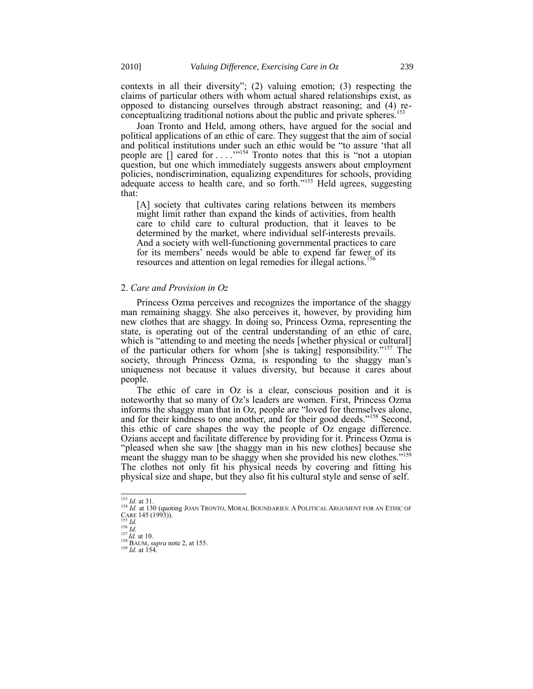contexts in all their diversity";  $(2)$  valuing emotion;  $(3)$  respecting the claims of particular others with whom actual shared relationships exist, as opposed to distancing ourselves through abstract reasoning; and (4) reconceptualizing traditional notions about the public and private spheres.<sup>153</sup>

Joan Tronto and Held, among others, have argued for the social and political applications of an ethic of care. They suggest that the aim of social and political institutions under such an ethic would be "to assure 'that all people are  $[]$  cared for ... .<sup>1154</sup> Tronto notes that this is "not a utopian question, but one which immediately suggests answers about employment policies, nondiscrimination, equalizing expenditures for schools, providing adequate access to health care, and so forth.<sup>2155</sup> Held agrees, suggesting that:

[A] society that cultivates caring relations between its members might limit rather than expand the kinds of activities, from health care to child care to cultural production, that it leaves to be determined by the market, where individual self-interests prevails. And a society with well-functioning governmental practices to care for its members' needs would be able to expend far fewer of its resources and attention on legal remedies for illegal actions.<sup>156</sup>

# 2. *Care and Provision in Oz*

Princess Ozma perceives and recognizes the importance of the shaggy man remaining shaggy. She also perceives it, however, by providing him new clothes that are shaggy. In doing so, Princess Ozma, representing the state, is operating out of the central understanding of an ethic of care, which is "attending to and meeting the needs [whether physical or cultural] of the particular others for whom [she is taking] responsibility."<sup>157</sup> The society, through Princess Ozma, is responding to the shaggy man's uniqueness not because it values diversity, but because it cares about people.

<span id="page-24-0"></span>The ethic of care in Oz is a clear, conscious position and it is noteworthy that so many of Oz's leaders are women. First, Princess Ozma informs the shaggy man that in  $Oz$ , people are "loved for themselves alone, and for their kindness to one another, and for their good deeds."<sup>158</sup> Second, this ethic of care shapes the way the people of Oz engage difference. Ozians accept and facilitate difference by providing for it. Princess Ozma is "pleased when she saw [the shaggy man in his new clothes] because she meant the shaggy man to be shaggy when she provided his new clothes."<sup>159</sup> The clothes not only fit his physical needs by covering and fitting his physical size and shape, but they also fit his cultural style and sense of self.

 $\frac{153}{100}$  *Id.* at 31.

<sup>&</sup>lt;sup>154</sup> *Id.* at 130 (quoting JOAN TRONTO, MORAL BOUNDARIES: A POLITICAL ARGUMENT FOR AN ETHIC OF CARE 145 (1993)).<br>CARE 145 (1993)).<br>*155 Id.* 

<sup>156</sup> *Id.* <sup>157</sup> *Id.* at 10.

<sup>158</sup> BAUM, *supra* not[e 2,](#page-0-0) at 155.

<sup>159</sup> *Id.* at 154.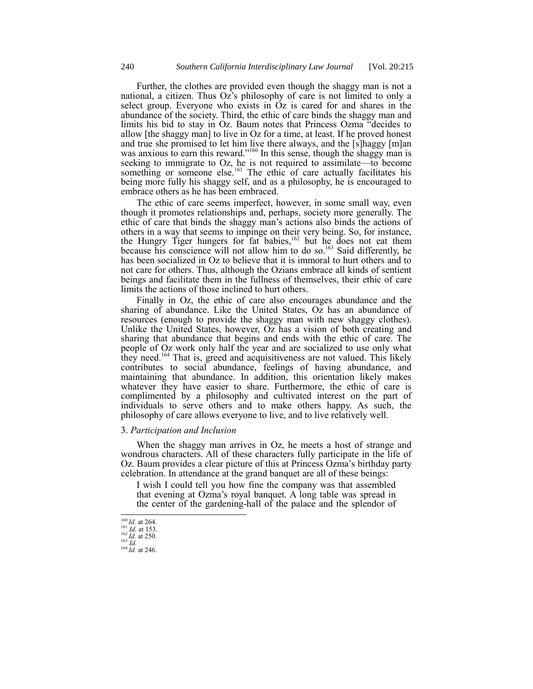Further, the clothes are provided even though the shaggy man is not a national, a citizen. Thus  $Oz^2$ s philosophy of care is not limited to only a select group. Everyone who exists in  $Oz$  is cared for and shares in the abundance of the society. Third, the ethic of care binds the shaggy man and limits his bid to stay in Oz. Baum notes that Princess Ozma "decides to allow [the shaggy man] to live in Oz for a time, at least. If he proved honest and true she promised to let him live there always, and the [s]haggy [m]an was anxious to earn this reward."<sup>160</sup> In this sense, though the shaggy man is seeking to immigrate to Oz, he is not required to assimilate—to become something or someone else.<sup>161</sup> The ethic of care actually facilitates his being more fully his shaggy self, and as a philosophy, he is encouraged to embrace others as he has been embraced.

The ethic of care seems imperfect, however, in some small way, even though it promotes relationships and, perhaps, society more generally. The ethic of care that binds the shaggy man's actions also binds the actions of others in a way that seems to impinge on their very being. So, for instance, the Hungry Tiger hungers for fat babies,<sup>162</sup> but he does not eat them because his conscience will not allow him to do so.<sup>163</sup> Said differently, he has been socialized in Oz to believe that it is immoral to hurt others and to not care for others. Thus, although the Ozians embrace all kinds of sentient beings and facilitate them in the fullness of themselves, their ethic of care limits the actions of those inclined to hurt others.

Finally in Oz, the ethic of care also encourages abundance and the sharing of abundance. Like the United States, Oz has an abundance of resources (enough to provide the shaggy man with new shaggy clothes). Unlike the United States, however, Oz has a vision of both creating and sharing that abundance that begins and ends with the ethic of care. The people of Oz work only half the year and are socialized to use only what they need.<sup>164</sup> That is, greed and acquisitiveness are not valued. This likely contributes to social abundance, feelings of having abundance, and maintaining that abundance. In addition, this orientation likely makes whatever they have easier to share. Furthermore, the ethic of care is complimented by a philosophy and cultivated interest on the part of individuals to serve others and to make others happy. As such, the philosophy of care allows everyone to live, and to live relatively well.

# 3. *Participation and Inclusion*

When the shaggy man arrives in Oz, he meets a host of strange and wondrous characters. All of these characters fully participate in the life of Oz. Baum provides a clear picture of this at Princess Ozma's birthday party celebration. In attendance at the grand banquet are all of these beings:

I wish I could tell you how fine the company was that assembled that evening at Ozma's royal banquet. A long table was spread in the center of the gardening-hall of the palace and the splendor of

 $^{160}$ *Id.* at 264.

<sup>161</sup> *Id.* at 153. <sup>162</sup> *Id.* at 250.

<sup>163</sup> *Id.*

 $^{164}$  *Id.* at 246.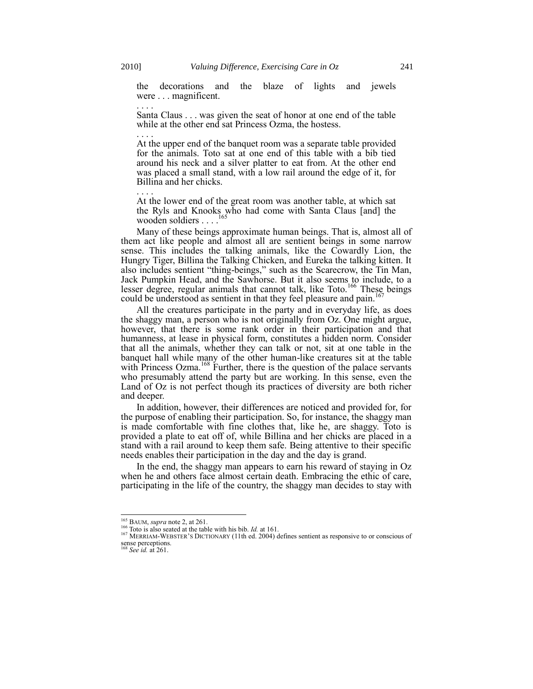. . . .

. . . .

. . . .

the decorations and the blaze of lights and jewels were . . . magnificent.

Santa Claus . . . was given the seat of honor at one end of the table while at the other end sat Princess Ozma, the hostess.

At the upper end of the banquet room was a separate table provided for the animals. Toto sat at one end of this table with a bib tied around his neck and a silver platter to eat from. At the other end was placed a small stand, with a low rail around the edge of it, for Billina and her chicks.

At the lower end of the great room was another table, at which sat the Ryls and Knooks who had come with Santa Claus [and] the 165 wooden soldiers . . . .

Many of these beings approximate human beings. That is, almost all of them act like people and almost all are sentient beings in some narrow sense. This includes the talking animals, like the Cowardly Lion, the Hungry Tiger, Billina the Talking Chicken, and Eureka the talking kitten. It also includes sentient "thing-beings," such as the Scarecrow, the Tin Man, Jack Pumpkin Head, and the Sawhorse. But it also seems to include, to a lesser degree, regular animals that cannot talk, like Toto.<sup>166</sup> These beings could be understood as sentient in that they feel pleasure and pain.<sup>167</sup>

All the creatures participate in the party and in everyday life, as does the shaggy man, a person who is not originally from Oz. One might argue, however, that there is some rank order in their participation and that humanness, at lease in physical form, constitutes a hidden norm. Consider that all the animals, whether they can talk or not, sit at one table in the banquet hall while many of the other human-like creatures sit at the table with Princess Ozma.<sup>168</sup> Further, there is the question of the palace servants who presumably attend the party but are working. In this sense, even the Land of Oz is not perfect though its practices of diversity are both richer and deeper.

In addition, however, their differences are noticed and provided for, for the purpose of enabling their participation. So, for instance, the shaggy man is made comfortable with fine clothes that, like he, are shaggy. Toto is provided a plate to eat off of, while Billina and her chicks are placed in a stand with a rail around to keep them safe. Being attentive to their specific needs enables their participation in the day and the day is grand.

In the end, the shaggy man appears to earn his reward of staying in Oz when he and others face almost certain death. Embracing the ethic of care, participating in the life of the country, the shaggy man decides to stay with

<sup>165</sup> BAUM, *supra* not[e 2,](#page-0-0) at 261.

<sup>&</sup>lt;sup>166</sup> Toto is also seated at the table with his bib. *Id.* at 161.<br><sup>167</sup> MERRIAM-WEBSTER'S DICTIONARY (11th ed. 2004) defines sentient as responsive to or conscious of sense perceptions. <sup>168</sup> *See id.* at 261.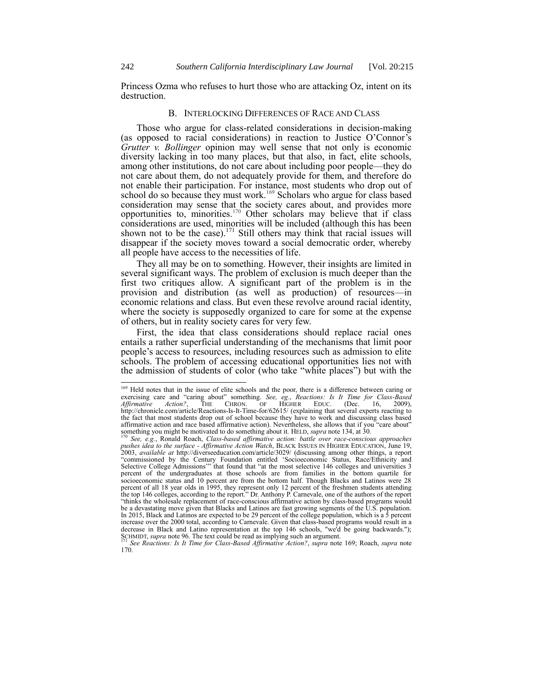Princess Ozma who refuses to hurt those who are attacking Oz, intent on its destruction.

# <span id="page-27-0"></span>B. INTERLOCKING DIFFERENCES OF RACE AND CLASS

Those who argue for class-related considerations in decision-making (as opposed to racial considerations) in reaction to Justice O'Connor's *Grutter v. Bollinger* opinion may well sense that not only is economic diversity lacking in too many places, but that also, in fact, elite schools, among other institutions, do not care about including poor people—they do not care about them, do not adequately provide for them, and therefore do not enable their participation. For instance, most students who drop out of school do so because they must work.<sup>169</sup> Scholars who argue for class based consideration may sense that the society cares about, and provides more opportunities to, minorities.<sup>170</sup> Other scholars may believe that if class considerations are used, minorities will be included (although this has been shown not to be the case).<sup>171</sup> Still others may think that racial issues will disappear if the society moves toward a social democratic order, whereby all people have access to the necessities of life.

<span id="page-27-2"></span><span id="page-27-1"></span>They all may be on to something. However, their insights are limited in several significant ways. The problem of exclusion is much deeper than the first two critiques allow. A significant part of the problem is in the provision and distribution (as well as production) of resources—in economic relations and class. But even these revolve around racial identity, where the society is supposedly organized to care for some at the expense of others, but in reality society cares for very few.

First, the idea that class considerations should replace racial ones entails a rather superficial understanding of the mechanisms that limit poor people's access to resources, including resources such as admission to elite schools. The problem of accessing educational opportunities lies not with the admission of students of color (who take "white places") but with the

<sup>&</sup>lt;sup>169</sup> Held notes that in the issue of elite schools and the poor, there is a difference between caring or exercising care and "caring about" something. See, eg., Reactions: Is It Time for Class-Based *Affirmative Action?*, THE CHRON. OF HIGHER EDUC. (Dec. 16, 2009), http://chronicle.com/article/Reactions-Is-It-Time-for/62615/ (explaining that several experts reacting to the fact that most students drop out of school because they have to work and discussing class based affirmative action and race based affirmative action). Nevertheless, she allows that if you "care about" something you might be motivated to do something about it. HELD, *supra* not[e 134,](#page-22-0) at 30.

<sup>170</sup> *See, e.g.*, Ronald Roach, *Class-based affirmative action: battle over race-conscious approaches pushes idea to the surface - Affirmative Action Watch*, BLACK ISSUES IN HIGHER EDUCATION, June 19, 2003, *available at* http://diverseeducation.com/article/3029/ (discussing among other things, a report ―commissioned by the Century Foundation entitled ‗Socioeconomic Status, Race/Ethnicity and Selective College Admissions'" that found that "at the most selective 146 colleges and universities 3 percent of the undergraduates at those schools are from families in the bottom quartile for socioeconomic status and 10 percent are from the bottom half. Though Blacks and Latinos were 28 percent of all 18 year olds in 1995, they represent only 12 percent of the freshmen students attending the top 146 colleges, according to the report." Dr. Anthony P. Carnevale, one of the authors of the report ―thinks the wholesale replacement of race-conscious affirmative action by class-based programs would be a devastating move given that Blacks and Latinos are fast growing segments of the U.S. population. In 2015, Black and Latinos are expected to be 29 percent of the college population, which is a 5 percent increase over the 2000 total, according to Carnevale. Given that class-based programs would result in a decrease in Black and Latino representation at the top 146 schools, "we'd be going backwards."); SCHMIDT, *supra* not[e 96.](#page-14-0) The text could be read as implying such an argument.

<sup>171</sup> *See Reactions: Is It Time for Class-Based Affirmative Action?*, *supra* note [169;](#page-27-0) Roach, *supra* note [170.](#page-27-2)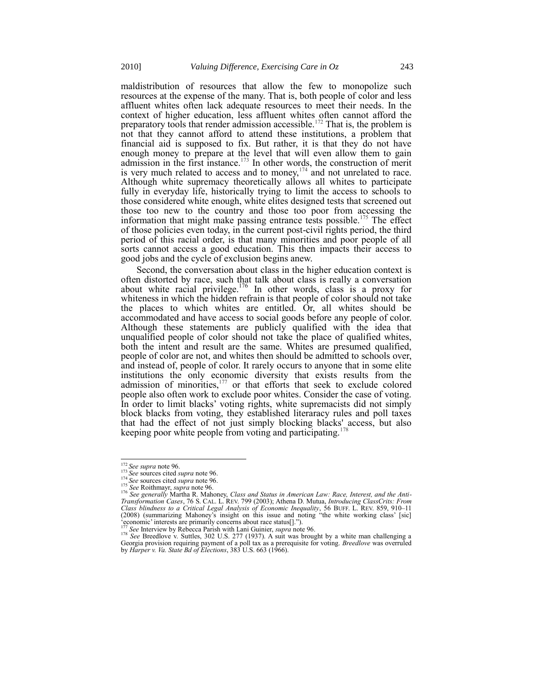maldistribution of resources that allow the few to monopolize such resources at the expense of the many. That is, both people of color and less affluent whites often lack adequate resources to meet their needs. In the context of higher education, less affluent whites often cannot afford the preparatory tools that render admission accessible.<sup>172</sup> That is, the problem is not that they cannot afford to attend these institutions, a problem that financial aid is supposed to fix. But rather, it is that they do not have enough money to prepare at the level that will even allow them to gain admission in the first instance.<sup>173</sup> In other words, the construction of merit is very much related to access and to money, $174$  and not unrelated to race. Although white supremacy theoretically allows all whites to participate fully in everyday life, historically trying to limit the access to schools to those considered white enough, white elites designed tests that screened out those too new to the country and those too poor from accessing the information that might make passing entrance tests possible.<sup>175</sup> The effect of those policies even today, in the current post-civil rights period, the third period of this racial order, is that many minorities and poor people of all sorts cannot access a good education. This then impacts their access to good jobs and the cycle of exclusion begins anew.

Second, the conversation about class in the higher education context is often distorted by race, such that talk about class is really a conversation about white racial privilege.<sup>176</sup> In other words, class is a proxy for whiteness in which the hidden refrain is that people of color should not take the places to which whites are entitled. Or, all whites should be accommodated and have access to social goods before any people of color. Although these statements are publicly qualified with the idea that unqualified people of color should not take the place of qualified whites, both the intent and result are the same. Whites are presumed qualified, people of color are not, and whites then should be admitted to schools over, and instead of, people of color. It rarely occurs to anyone that in some elite institutions the only economic diversity that exists results from the admission of minorities, $177$  or that efforts that seek to exclude colored people also often work to exclude poor whites. Consider the case of voting. In order to limit blacks' voting rights, white supremacists did not simply block blacks from voting, they established literaracy rules and poll taxes that had the effect of not just simply blocking blacks' access, but also keeping poor white people from voting and participating.<sup>178</sup>

<sup>172</sup> *See supra* not[e 96.](#page-14-0) <sup>173</sup> *See* sources cited *supra* not[e 96.](#page-14-0)

<sup>174</sup> *See* sources cited *supra* not[e 96.](#page-14-0)

<sup>175</sup> *See* Roithmayr, *supra* not[e 96.](#page-14-0)  <sup>176</sup> *See generally* Martha R. Mahoney, *Class and Status in American Law: Race, Interest, and the Anti-Transformation Cases*, 76 S. CAL. L. REV. 799 (2003); Athena D. Mutua, *Introducing ClassCrits: From*  Class blindness to a Critical Legal Analysis of Economic Inequality, 56 BUFF. L. REV. 859, 910–11 (2008) (summarizing Mahoney's insight on this issue and noting "the white working class' [sic] ‗economic' interests are primarily concerns about race status[].‖). <sup>177</sup> *See* Interview by Rebecca Parish with Lani Guinier, *supra* not[e 96.](#page-14-0)

<sup>&</sup>lt;sup>177</sup> See Interview by Rebecca Parish with Lani Guinier, *supra* note 96.<br><sup>178</sup> See Breedlove v. Suttles, 302 U.S. 277 (1937). A suit was brought by a white man challenging a Georgia provision requiring payment of a poll tax as a prerequisite for voting. *Breedlove* was overruled by *Harper v. Va. State Bd of Elections*, 383 U.S. 663 (1966).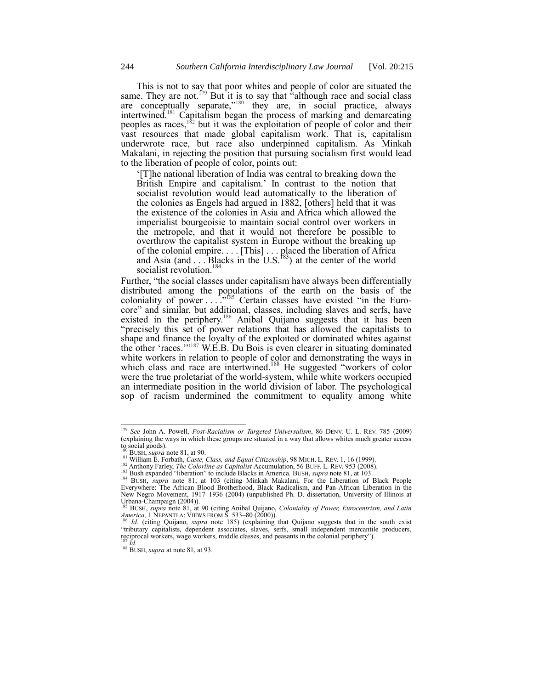This is not to say that poor whites and people of color are situated the same. They are not.<sup> $179$ </sup> But it is to say that "although race and social class" are conceptually separate," $180$  they are, in social practice, always intertwined.<sup>181</sup> Capitalism began the process of marking and demarcating peoples as races,<sup>182</sup> but it was the exploitation of people of color and their vast resources that made global capitalism work. That is, capitalism underwrote race, but race also underpinned capitalism. As Minkah Makalani, in rejecting the position that pursuing socialism first would lead to the liberation of people of color, points out:

‗[T]he national liberation of India was central to breaking down the British Empire and capitalism.' In contrast to the notion that socialist revolution would lead automatically to the liberation of the colonies as Engels had argued in 1882, [others] held that it was the existence of the colonies in Asia and Africa which allowed the imperialist bourgeoisie to maintain social control over workers in the metropole, and that it would not therefore be possible to overthrow the capitalist system in Europe without the breaking up of the colonial empire. . . . [This] . . . placed the liberation of Africa and Asia (and  $\dots$  Blacks in the U.S.<sup>183</sup>) at the center of the world socialist revolution.<sup>184</sup>

<span id="page-29-0"></span>Further, "the social classes under capitalism have always been differentially distributed among the populations of the earth on the basis of the coloniality of power  $\ldots$ <sup>185</sup> Certain classes have existed "in the Eurocore" and similar, but additional, classes, including slaves and serfs, have existed in the periphery.<sup>186</sup> Anibal Quijano suggests that it has been ―precisely this set of power relations that has allowed the capitalists to shape and finance the loyalty of the exploited or dominated whites against the other 'races.'"<sup>187</sup> W.E.B. Du Bois is even clearer in situating dominated white workers in relation to people of color and demonstrating the ways in which class and race are intertwined.<sup>188</sup> He suggested "workers of color were the true proletariat of the world-system, while white workers occupied an intermediate position in the world division of labor. The psychological sop of racism undermined the commitment to equality among white

<sup>179</sup> *See* John A. Powell, *Post-Racialism or Targeted Universalism*, 86 DENV. U. L. REV. 785 (2009) (explaining the ways in which these groups are situated in a way that allows whites much greater access

to social goods). <sup>180</sup> BUSH, *supra* not[e 81,](#page-11-0) at 90.

<sup>181</sup> William E. Forbath, *Caste, Class, and Equal Citizenship*, 98 MICH. L. REV. 1, 16 (1999).

<sup>&</sup>lt;sup>182</sup> Anthony Farley, *The Colorline as Capitalist* Accumulation, 56 BUFF. L. REV. 953 (2008).<br><sup>183</sup> Bush expanded "liberation" to include Blacks in America. BUSH, *supra* not[e 81,](#page-11-0) at 103.

<sup>&</sup>lt;sup>184</sup> BUSH, *supra* note [81,](#page-11-0) at 103 (citing Minkah Makalani, For the Liberation of Black People Everywhere: The African Blood Brotherhood, Black Radicalism, and Pan-African Liberation in the New Negro Movement, 1917–1936 (2004) (unpublished Ph. D. dissertation, University of Illinois at Urbana-Champaign (2004)).

<sup>185</sup> BUSH, *supra* note [81,](#page-11-0) at 90 (citing Anibal Quijano, *Coloniality of Power, Eurocentrism, and Latin America,* 1 NEPANTLA: VIEWS FROM S. 533–80 (2000)).

<sup>186</sup> *Id.* (citing Quijano, *supra* note [185\)](#page-29-0) (explaining that Quijano suggests that in the south exist "tributary capitalists, dependent associates, slaves, serfs, small independent mercantile producers, reciprocal workers, wage workers, middle classes, and peasants in the colonial periphery").<br><sup>187</sup> *Id.* 

<sup>&</sup>lt;sup>188</sup> BUSH, *supra* at not[e 81,](#page-11-0) at 93.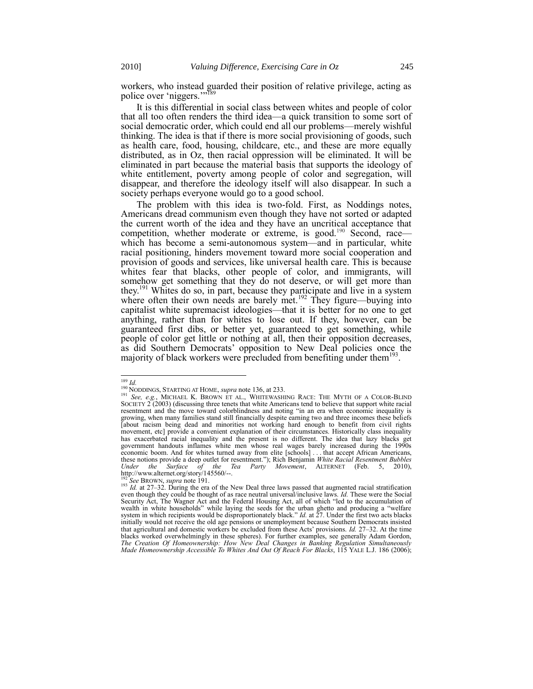workers, who instead guarded their position of relative privilege, acting as police over 'niggers.'"<sup>189</sup>

It is this differential in social class between whites and people of color that all too often renders the third idea—a quick transition to some sort of social democratic order, which could end all our problems—merely wishful thinking. The idea is that if there is more social provisioning of goods, such as health care, food, housing, childcare, etc., and these are more equally distributed, as in Oz, then racial oppression will be eliminated. It will be eliminated in part because the material basis that supports the ideology of white entitlement, poverty among people of color and segregation, will disappear, and therefore the ideology itself will also disappear. In such a society perhaps everyone would go to a good school.

<span id="page-30-0"></span>The problem with this idea is two-fold. First, as Noddings notes, Americans dread communism even though they have not sorted or adapted the current worth of the idea and they have an uncritical acceptance that competition, whether moderate or extreme, is good.<sup>190</sup> Second, race which has become a semi-autonomous system—and in particular, white racial positioning, hinders movement toward more social cooperation and provision of goods and services, like universal health care. This is because whites fear that blacks, other people of color, and immigrants, will somehow get something that they do not deserve, or will get more than they.<sup>191</sup> Whites do so, in part, because they participate and live in a system where often their own needs are barely met.<sup>192</sup> They figure—buying into capitalist white supremacist ideologies—that it is better for no one to get anything, rather than for whites to lose out. If they, however, can be guaranteed first dibs, or better yet, guaranteed to get something, while people of color get little or nothing at all, then their opposition decreases, as did Southern Democrats' opposition to New Deal policies once the majority of black workers were precluded from benefiting under them<sup>193</sup>.

<sup>189</sup> *Id.* <sup>190</sup> NODDINGS, STARTING AT HOME, *supra* not[e 136,](#page-22-2) at 233.

<sup>191</sup> *See, e.g.*, MICHAEL K. BROWN ET AL., WHITEWASHING RACE: THE MYTH OF A COLOR-BLIND SOCIETY  $2(2003)$  (discussing three tenets that white Americans tend to believe that support white racial resentment and the move toward colorblindness and noting "in an era when economic inequality is growing, when many families stand still financially despite earning two and three incomes these beliefs [about racism being dead and minorities not working hard enough to benefit from civil rights movement, etc] provide a convenient explanation of their circumstances. Historically class inequality has exacerbated racial inequality and the present is no different. The idea that lazy blacks get government handouts inflames white men whose real wages barely increased during the 1990s economic boom. And for whites turned away from elite [schools] . . . that accept African Americans, these notions provide a deep outlet for resentment.‖); Rich Benjamin *White Racial Resentment Bubbles Under the Surface of the Tea Party Movement*, ALTERNET (Feb. 5, 2010), http://www.alternet.org/story/145560/--.

<sup>192</sup> *See* BROWN, *supra* not[e 191.](#page-30-0)

<sup>&</sup>lt;sup>193</sup> *Id.* at 27–32. During the era of the New Deal three laws passed that augmented racial stratification even though they could be thought of as race neutral universal/inclusive laws. *Id.* These were the Social Security Act, The Wagner Act and the Federal Housing Act, all of which "led to the accumulation of wealth in white households" while laying the seeds for the urban ghetto and producing a "welfare system in which recipients would be disproportionately black." *Id.* at 27. Under the first two acts blacks initially would not receive the old age pensions or unemployment because Southern Democrats insisted that agricultural and domestic workers be excluded from these Acts' provisions. *Id.* 27–32. At the time blacks worked overwhelmingly in these spheres). For further examples, see generally Adam Gordon, *The Creation Of Homeownership: How New Deal Changes in Banking Regulation Simultaneously Made Homeownership Accessible To Whites And Out Of Reach For Blacks*, 115 YALE L.J. 186 (2006);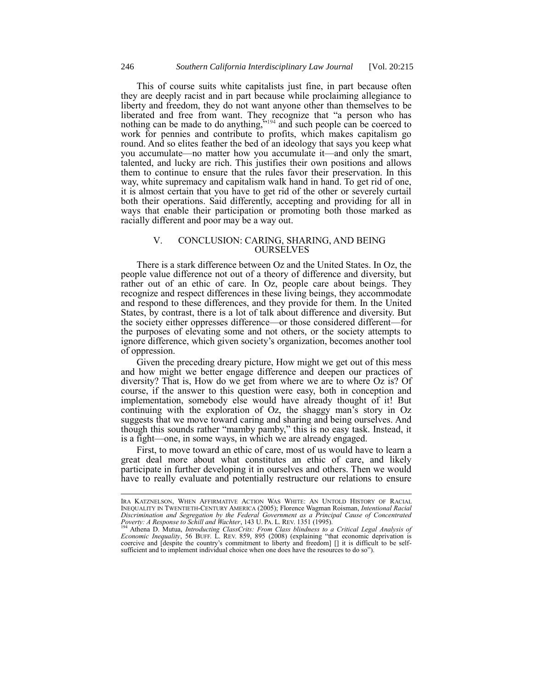This of course suits white capitalists just fine, in part because often they are deeply racist and in part because while proclaiming allegiance to liberty and freedom, they do not want anyone other than themselves to be liberated and free from want. They recognize that "a person who has nothing can be made to do anything,  $5^{194}$  and such people can be coerced to work for pennies and contribute to profits, which makes capitalism go round. And so elites feather the bed of an ideology that says you keep what you accumulate—no matter how you accumulate it—and only the smart, talented, and lucky are rich. This justifies their own positions and allows them to continue to ensure that the rules favor their preservation. In this way, white supremacy and capitalism walk hand in hand. To get rid of one, it is almost certain that you have to get rid of the other or severely curtail both their operations. Said differently, accepting and providing for all in ways that enable their participation or promoting both those marked as racially different and poor may be a way out.

# V. CONCLUSION: CARING, SHARING, AND BEING OURSELVES

There is a stark difference between Oz and the United States. In Oz, the people value difference not out of a theory of difference and diversity, but rather out of an ethic of care. In Oz, people care about beings. They recognize and respect differences in these living beings, they accommodate and respond to these differences, and they provide for them. In the United States, by contrast, there is a lot of talk about difference and diversity. But the society either oppresses difference—or those considered different—for the purposes of elevating some and not others, or the society attempts to ignore difference, which given society's organization, becomes another tool of oppression.

Given the preceding dreary picture, How might we get out of this mess and how might we better engage difference and deepen our practices of diversity? That is, How do we get from where we are to where Oz is? Of course, if the answer to this question were easy, both in conception and implementation, somebody else would have already thought of it! But continuing with the exploration of Oz, the shaggy man's story in Oz suggests that we move toward caring and sharing and being ourselves. And though this sounds rather "mamby pamby," this is no easy task. Instead, it is a fight—one, in some ways, in which we are already engaged.

First, to move toward an ethic of care, most of us would have to learn a great deal more about what constitutes an ethic of care, and likely participate in further developing it in ourselves and others. Then we would have to really evaluate and potentially restructure our relations to ensure

IRA KATZNELSON, WHEN AFFIRMATIVE ACTION WAS WHITE: AN UNTOLD HISTORY OF RACIAL INEQUALITY IN TWENTIETH-CENTURY AMERICA (2005); Florence Wagman Roisman, *Intentional Racial Discrimination and Segregation by the Federal Government as a Principal Cause of Concentrated Poverty: A Response to Schill and Wachter*, 143 U. PA. L. REV. 1351 (1995).

<sup>&</sup>lt;sup>194</sup> Athena D. Mutua, *Introducting ClassCrits: From Class blindness to a Critical Legal Analysis of <br><i>Economic Inequality*, 56 BUFF. L. REV. 859, 895 (2008) (explaining "that economic deprivation is coercive and [despite the country's commitment to liberty and freedom] [] it is difficult to be selfsufficient and to implement individual choice when one does have the resources to do so").